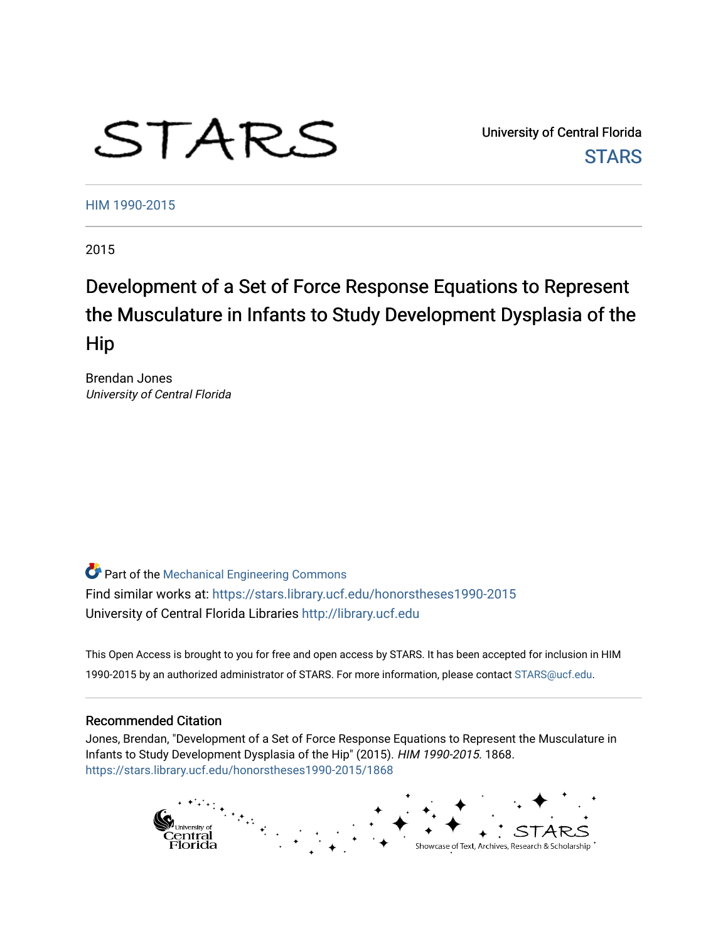# STARS

University of Central Florida **STARS** 

[HIM 1990-2015](https://stars.library.ucf.edu/honorstheses1990-2015) 

2015

## Development of a Set of Force Response Equations to Represent the Musculature in Infants to Study Development Dysplasia of the Hip

Brendan Jones University of Central Florida

Part of the [Mechanical Engineering Commons](http://network.bepress.com/hgg/discipline/293?utm_source=stars.library.ucf.edu%2Fhonorstheses1990-2015%2F1868&utm_medium=PDF&utm_campaign=PDFCoverPages)  Find similar works at: <https://stars.library.ucf.edu/honorstheses1990-2015> University of Central Florida Libraries [http://library.ucf.edu](http://library.ucf.edu/) 

This Open Access is brought to you for free and open access by STARS. It has been accepted for inclusion in HIM 1990-2015 by an authorized administrator of STARS. For more information, please contact [STARS@ucf.edu](mailto:STARS@ucf.edu).

#### Recommended Citation

Jones, Brendan, "Development of a Set of Force Response Equations to Represent the Musculature in Infants to Study Development Dysplasia of the Hip" (2015). HIM 1990-2015. 1868. [https://stars.library.ucf.edu/honorstheses1990-2015/1868](https://stars.library.ucf.edu/honorstheses1990-2015/1868?utm_source=stars.library.ucf.edu%2Fhonorstheses1990-2015%2F1868&utm_medium=PDF&utm_campaign=PDFCoverPages) 

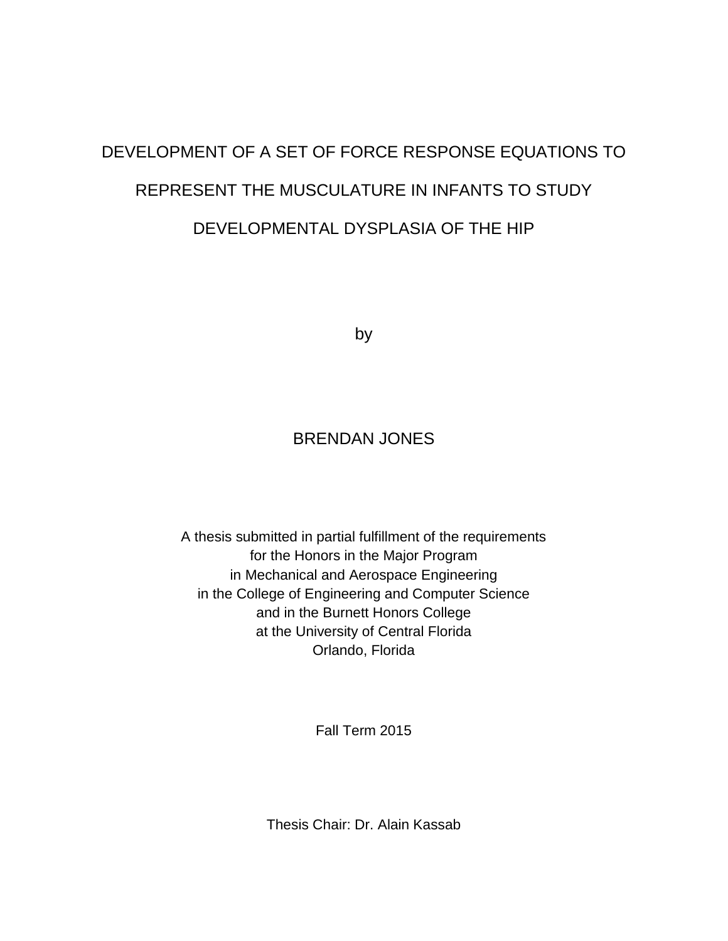## DEVELOPMENT OF A SET OF FORCE RESPONSE EQUATIONS TO REPRESENT THE MUSCULATURE IN INFANTS TO STUDY DEVELOPMENTAL DYSPLASIA OF THE HIP

by

### BRENDAN JONES

A thesis submitted in partial fulfillment of the requirements for the Honors in the Major Program in Mechanical and Aerospace Engineering in the College of Engineering and Computer Science and in the Burnett Honors College at the University of Central Florida Orlando, Florida

Fall Term 2015

Thesis Chair: Dr. Alain Kassab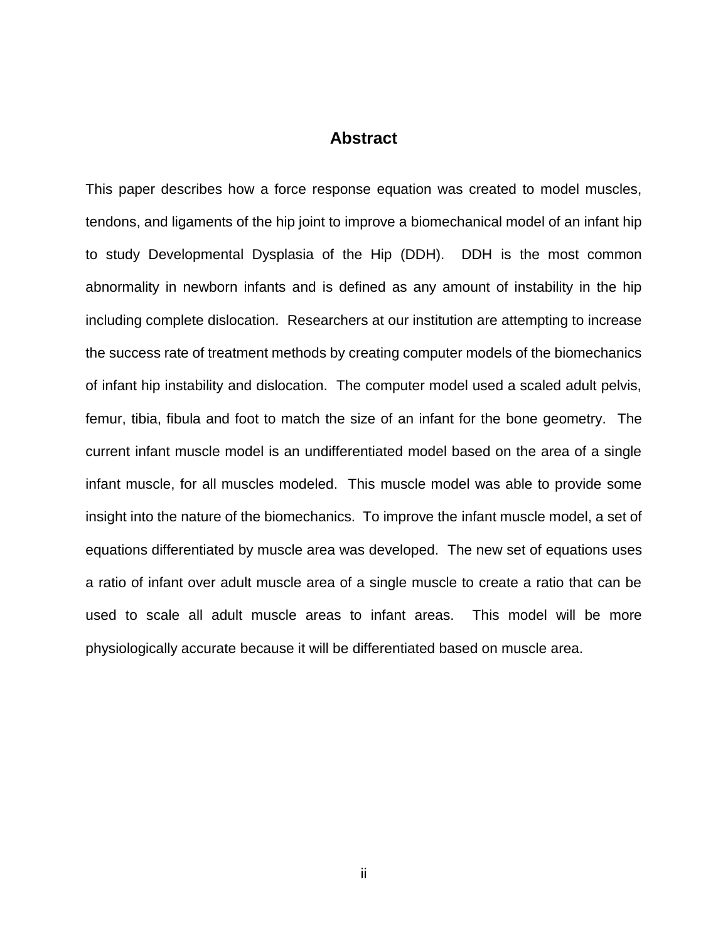#### **Abstract**

This paper describes how a force response equation was created to model muscles, tendons, and ligaments of the hip joint to improve a biomechanical model of an infant hip to study Developmental Dysplasia of the Hip (DDH). DDH is the most common abnormality in newborn infants and is defined as any amount of instability in the hip including complete dislocation. Researchers at our institution are attempting to increase the success rate of treatment methods by creating computer models of the biomechanics of infant hip instability and dislocation. The computer model used a scaled adult pelvis, femur, tibia, fibula and foot to match the size of an infant for the bone geometry. The current infant muscle model is an undifferentiated model based on the area of a single infant muscle, for all muscles modeled. This muscle model was able to provide some insight into the nature of the biomechanics. To improve the infant muscle model, a set of equations differentiated by muscle area was developed. The new set of equations uses a ratio of infant over adult muscle area of a single muscle to create a ratio that can be used to scale all adult muscle areas to infant areas. This model will be more physiologically accurate because it will be differentiated based on muscle area.

ii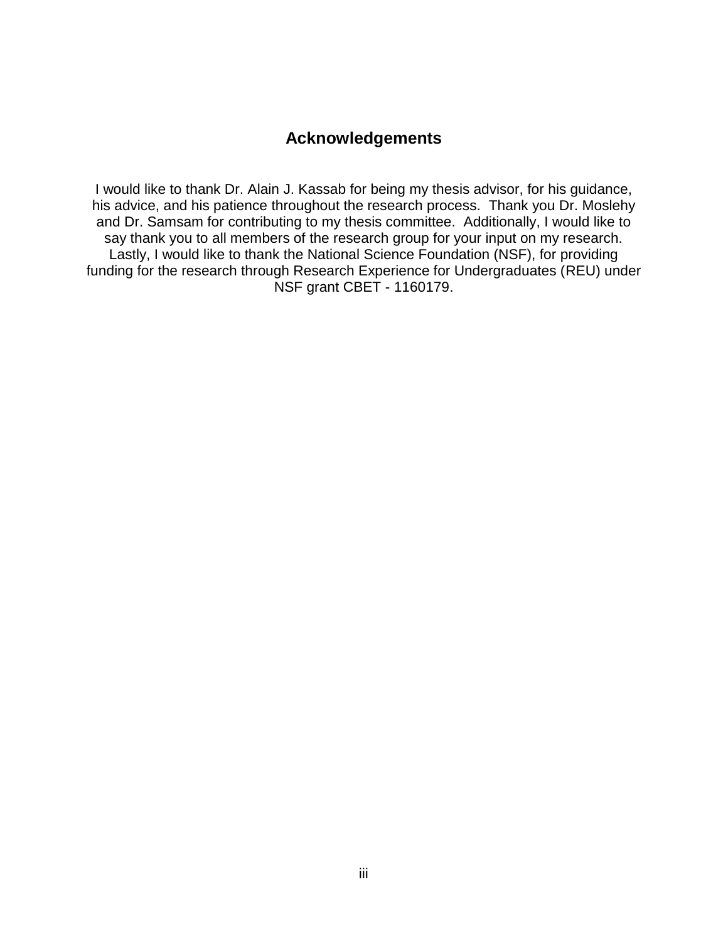#### **Acknowledgements**

I would like to thank Dr. Alain J. Kassab for being my thesis advisor, for his guidance, his advice, and his patience throughout the research process. Thank you Dr. Moslehy and Dr. Samsam for contributing to my thesis committee. Additionally, I would like to say thank you to all members of the research group for your input on my research. Lastly, I would like to thank the National Science Foundation (NSF), for providing funding for the research through Research Experience for Undergraduates (REU) under NSF grant CBET - 1160179.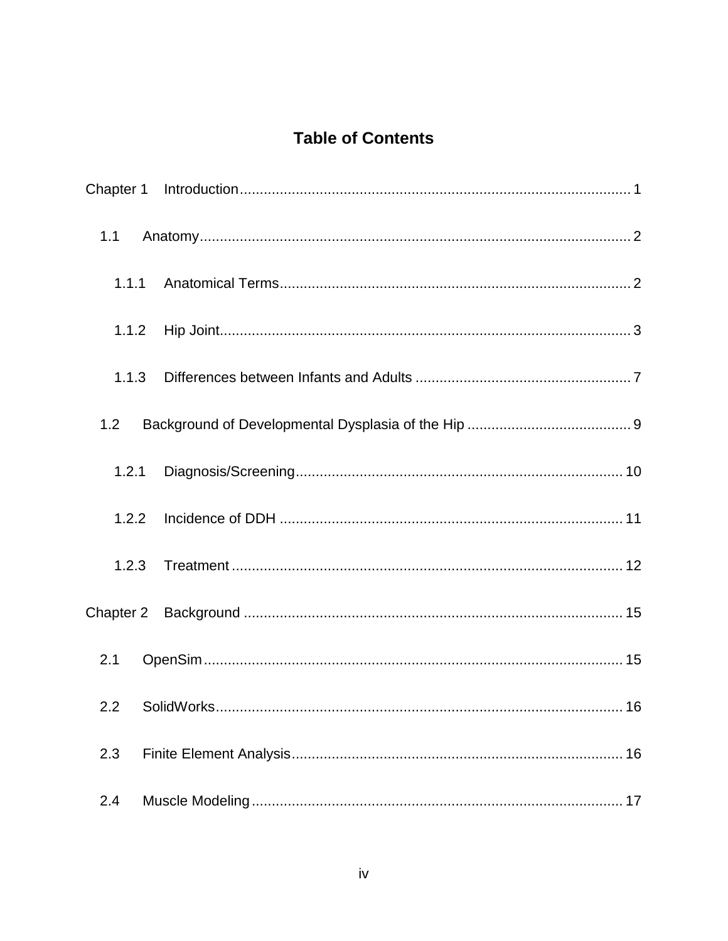## **Table of Contents**

| 1.1   |                |  |  |
|-------|----------------|--|--|
| 1.1.1 |                |  |  |
| 1.1.2 |                |  |  |
| 1.1.3 |                |  |  |
| 1.2   |                |  |  |
| 1.2.1 |                |  |  |
| 1.2.2 |                |  |  |
| 1.2.3 |                |  |  |
|       |                |  |  |
| 2.1   |                |  |  |
|       | 2.2 SolidWorks |  |  |
| 2.3   |                |  |  |
| 2.4   |                |  |  |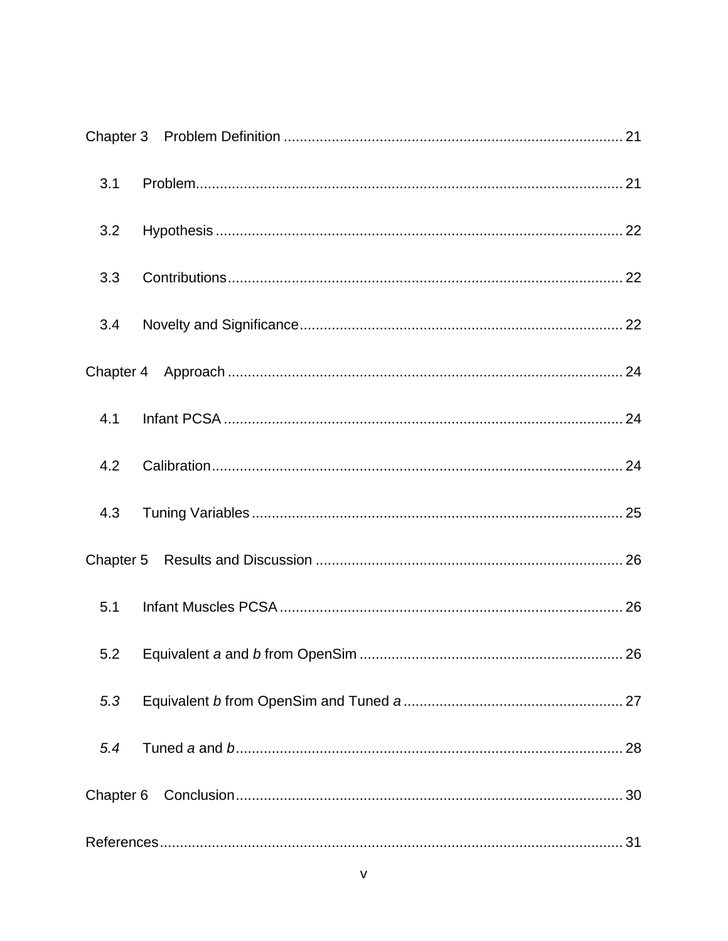| 3.1 |    |  |  |  |
|-----|----|--|--|--|
| 3.2 |    |  |  |  |
| 3.3 |    |  |  |  |
| 3.4 |    |  |  |  |
|     |    |  |  |  |
| 4.1 |    |  |  |  |
| 4.2 |    |  |  |  |
| 4.3 |    |  |  |  |
|     |    |  |  |  |
| 5.1 |    |  |  |  |
|     | 26 |  |  |  |
| 5.3 |    |  |  |  |
| 5.4 |    |  |  |  |
|     |    |  |  |  |
|     |    |  |  |  |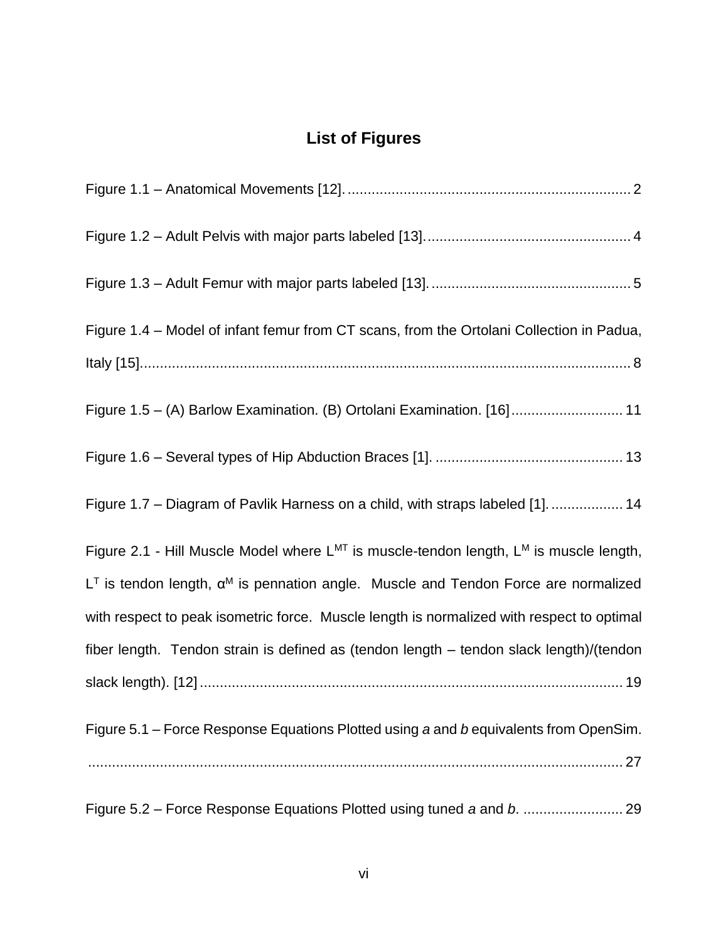## **List of Figures**

| Figure 1.4 – Model of infant femur from CT scans, from the Ortolani Collection in Padua,         |
|--------------------------------------------------------------------------------------------------|
|                                                                                                  |
| Figure 1.5 - (A) Barlow Examination. (B) Ortolani Examination. [16]  11                          |
|                                                                                                  |
| Figure 1.7 - Diagram of Pavlik Harness on a child, with straps labeled [1].  14                  |
| Figure 2.1 - Hill Muscle Model where $L^{MT}$ is muscle-tendon length, $L^{M}$ is muscle length, |
| $LT$ is tendon length, $\alpha^M$ is pennation angle. Muscle and Tendon Force are normalized     |
| with respect to peak isometric force. Muscle length is normalized with respect to optimal        |
| fiber length. Tendon strain is defined as (tendon length - tendon slack length)/(tendon          |
|                                                                                                  |
| Figure 5.1 – Force Response Equations Plotted using a and b equivalents from OpenSim.            |
|                                                                                                  |
|                                                                                                  |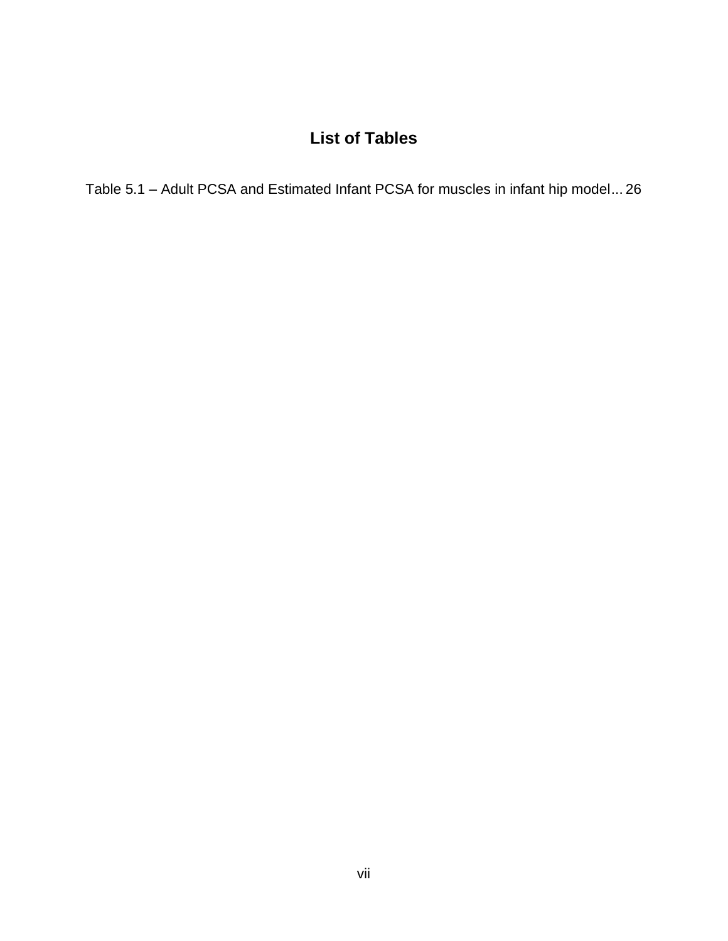## **List of Tables**

Table 5.1 – [Adult PCSA and Estimated Infant PCSA for muscles in infant hip model...](#page-33-3) 26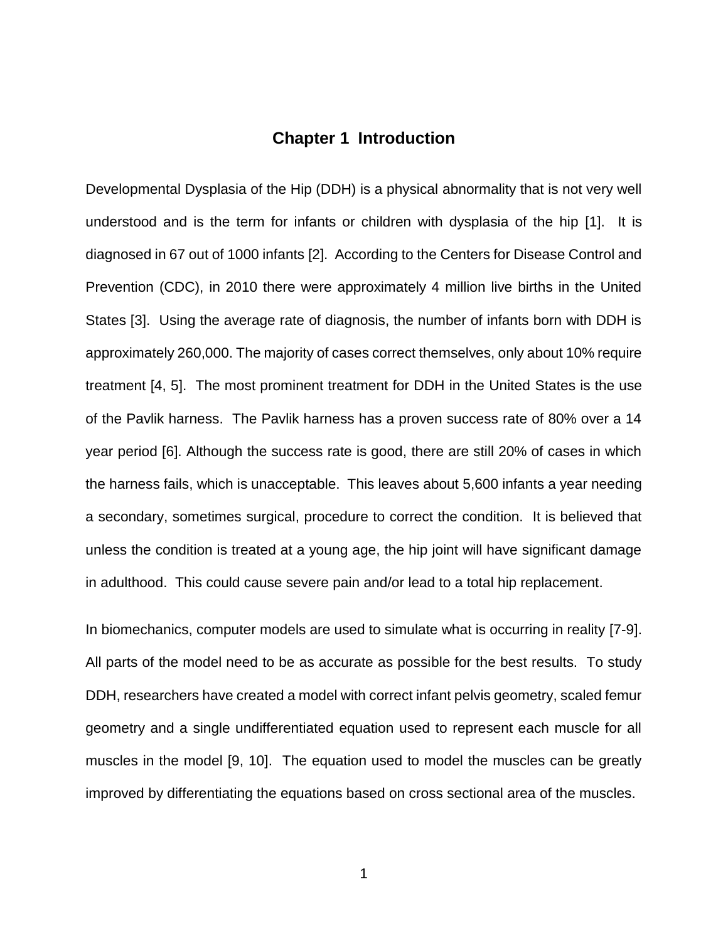#### **Chapter 1 Introduction**

<span id="page-8-0"></span>Developmental Dysplasia of the Hip (DDH) is a physical abnormality that is not very well understood and is the term for infants or children with dysplasia of the hip [\[1\]](#page-38-1). It is diagnosed in 67 out of 1000 infants [\[2\]](#page-38-2). According to the Centers for Disease Control and Prevention (CDC), in 2010 there were approximately 4 million live births in the United States [\[3\]](#page-38-3). Using the average rate of diagnosis, the number of infants born with DDH is approximately 260,000. The majority of cases correct themselves, only about 10% require treatment [\[4,](#page-38-4) [5\]](#page-38-5). The most prominent treatment for DDH in the United States is the use of the Pavlik harness. The Pavlik harness has a proven success rate of 80% over a 14 year period [\[6\]](#page-38-6). Although the success rate is good, there are still 20% of cases in which the harness fails, which is unacceptable. This leaves about 5,600 infants a year needing a secondary, sometimes surgical, procedure to correct the condition. It is believed that unless the condition is treated at a young age, the hip joint will have significant damage in adulthood. This could cause severe pain and/or lead to a total hip replacement.

In biomechanics, computer models are used to simulate what is occurring in reality [\[7-9\]](#page-38-7). All parts of the model need to be as accurate as possible for the best results. To study DDH, researchers have created a model with correct infant pelvis geometry, scaled femur geometry and a single undifferentiated equation used to represent each muscle for all muscles in the model [\[9,](#page-38-8) [10\]](#page-38-9). The equation used to model the muscles can be greatly improved by differentiating the equations based on cross sectional area of the muscles.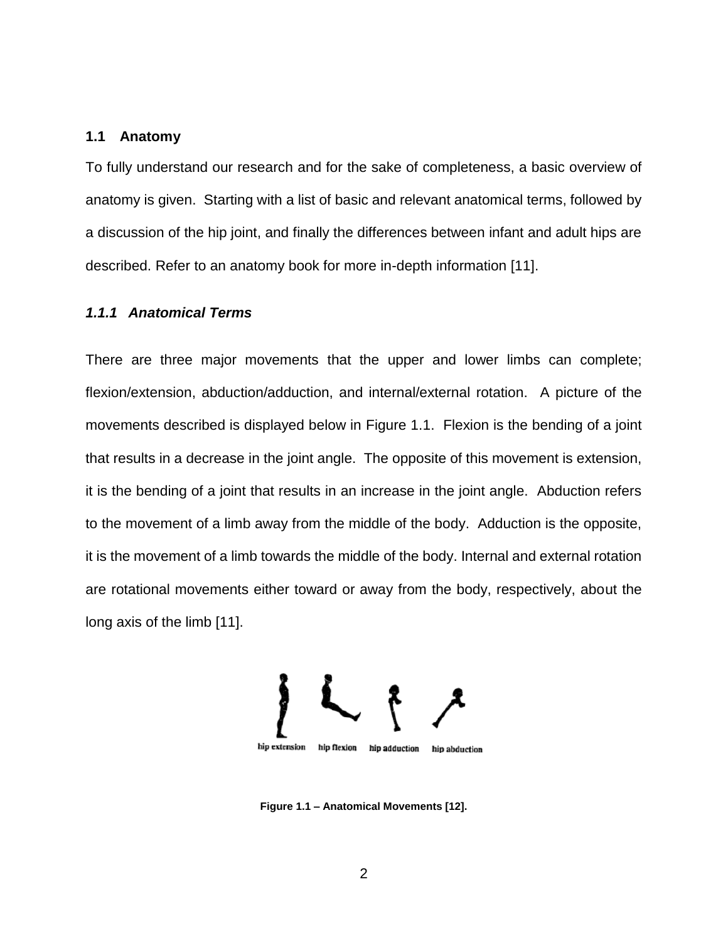#### <span id="page-9-0"></span>**1.1 Anatomy**

To fully understand our research and for the sake of completeness, a basic overview of anatomy is given. Starting with a list of basic and relevant anatomical terms, followed by a discussion of the hip joint, and finally the differences between infant and adult hips are described. Refer to an anatomy book for more in-depth information [\[11\]](#page-38-10).

#### <span id="page-9-1"></span>*1.1.1 Anatomical Terms*

There are three major movements that the upper and lower limbs can complete; flexion/extension, abduction/adduction, and internal/external rotation. A picture of the movements described is displayed below in [Figure 1.1.](#page-9-2) Flexion is the bending of a joint that results in a decrease in the joint angle. The opposite of this movement is extension, it is the bending of a joint that results in an increase in the joint angle. Abduction refers to the movement of a limb away from the middle of the body. Adduction is the opposite, it is the movement of a limb towards the middle of the body. Internal and external rotation are rotational movements either toward or away from the body, respectively, about the long axis of the limb [\[11\]](#page-38-10).



<span id="page-9-2"></span>**Figure 1.1 – Anatomical Movements [\[12\]](#page-39-0).**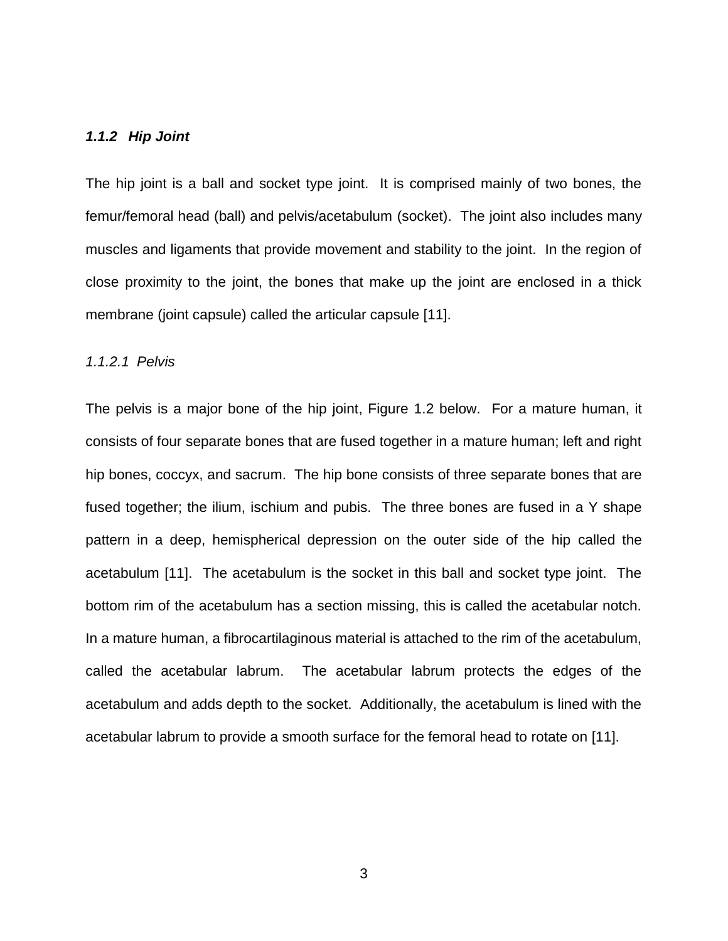#### <span id="page-10-0"></span>*1.1.2 Hip Joint*

The hip joint is a ball and socket type joint. It is comprised mainly of two bones, the femur/femoral head (ball) and pelvis/acetabulum (socket). The joint also includes many muscles and ligaments that provide movement and stability to the joint. In the region of close proximity to the joint, the bones that make up the joint are enclosed in a thick membrane (joint capsule) called the articular capsule [\[11\]](#page-38-10).

#### *1.1.2.1 Pelvis*

The pelvis is a major bone of the hip joint, [Figure 1.2](#page-11-0) below. For a mature human, it consists of four separate bones that are fused together in a mature human; left and right hip bones, coccyx, and sacrum. The hip bone consists of three separate bones that are fused together; the ilium, ischium and pubis. The three bones are fused in a Y shape pattern in a deep, hemispherical depression on the outer side of the hip called the acetabulum [\[11\]](#page-38-10). The acetabulum is the socket in this ball and socket type joint. The bottom rim of the acetabulum has a section missing, this is called the acetabular notch. In a mature human, a fibrocartilaginous material is attached to the rim of the acetabulum, called the acetabular labrum. The acetabular labrum protects the edges of the acetabulum and adds depth to the socket. Additionally, the acetabulum is lined with the acetabular labrum to provide a smooth surface for the femoral head to rotate on [\[11\]](#page-38-10).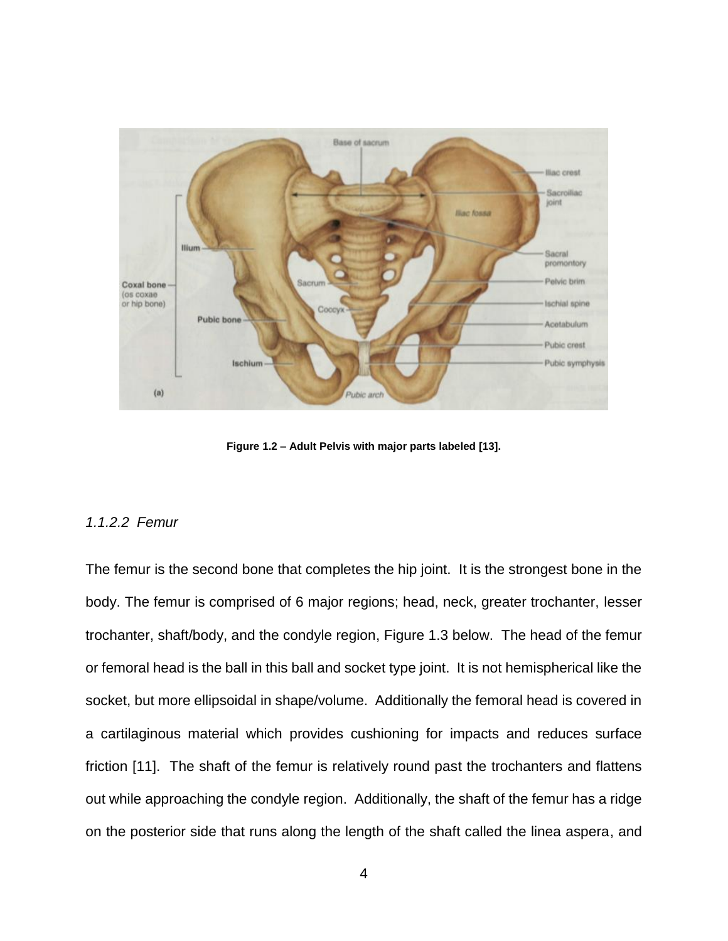

**Figure 1.2 – Adult Pelvis with major parts labeled [\[13\]](#page-39-1).**

#### <span id="page-11-0"></span>*1.1.2.2 Femur*

The femur is the second bone that completes the hip joint. It is the strongest bone in the body. The femur is comprised of 6 major regions; head, neck, greater trochanter, lesser trochanter, shaft/body, and the condyle region, [Figure 1.3](#page-12-0) below. The head of the femur or femoral head is the ball in this ball and socket type joint. It is not hemispherical like the socket, but more ellipsoidal in shape/volume. Additionally the femoral head is covered in a cartilaginous material which provides cushioning for impacts and reduces surface friction [\[11\]](#page-38-10). The shaft of the femur is relatively round past the trochanters and flattens out while approaching the condyle region. Additionally, the shaft of the femur has a ridge on the posterior side that runs along the length of the shaft called the linea aspera, and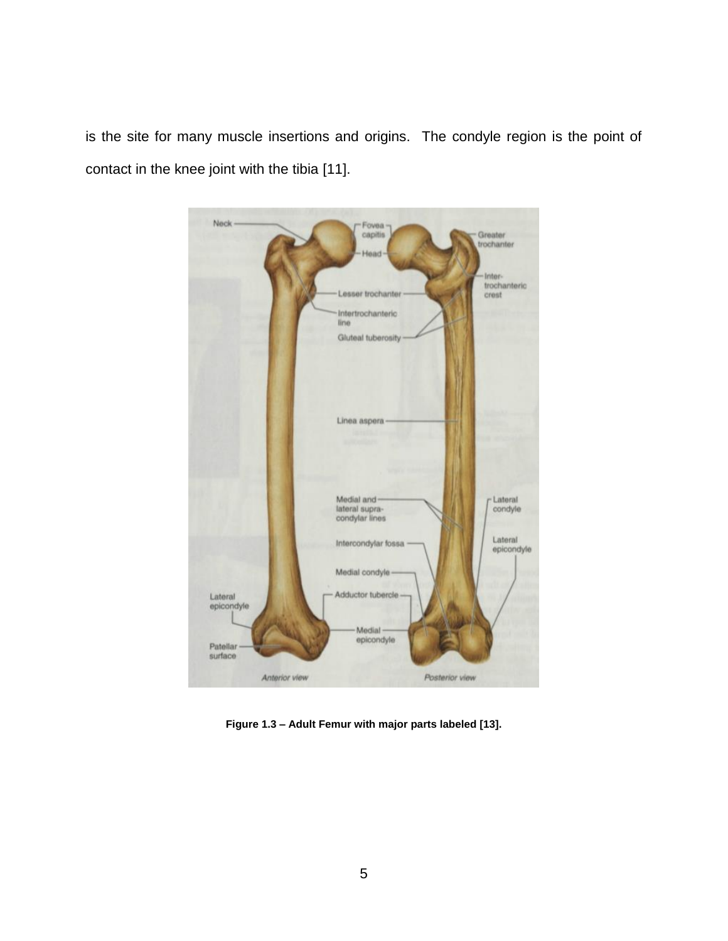is the site for many muscle insertions and origins. The condyle region is the point of contact in the knee joint with the tibia [\[11\]](#page-38-10).



<span id="page-12-0"></span>**Figure 1.3 – Adult Femur with major parts labeled [\[13\]](#page-39-1).**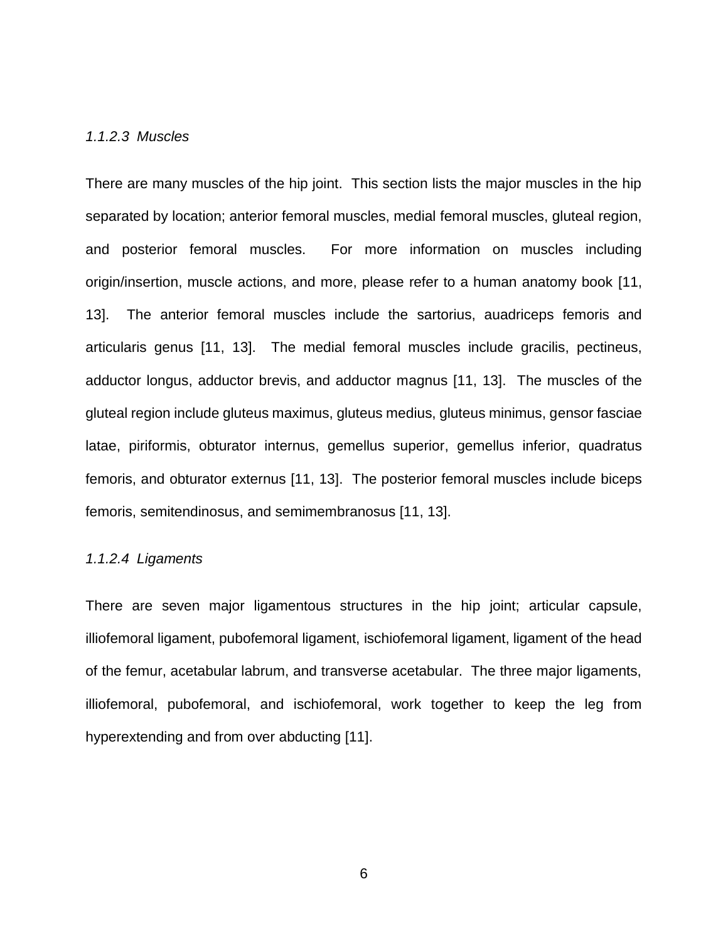#### *1.1.2.3 Muscles*

There are many muscles of the hip joint. This section lists the major muscles in the hip separated by location; anterior femoral muscles, medial femoral muscles, gluteal region, and posterior femoral muscles. For more information on muscles including origin/insertion, muscle actions, and more, please refer to a human anatomy book [\[11,](#page-38-10) [13\]](#page-39-1). The anterior femoral muscles include the sartorius, auadriceps femoris and articularis genus [\[11,](#page-38-10) [13\]](#page-39-1). The medial femoral muscles include gracilis, pectineus, adductor longus, adductor brevis, and adductor magnus [\[11,](#page-38-10) [13\]](#page-39-1). The muscles of the gluteal region include gluteus maximus, gluteus medius, gluteus minimus, gensor fasciae latae, piriformis, obturator internus, gemellus superior, gemellus inferior, quadratus femoris, and obturator externus [\[11,](#page-38-10) [13\]](#page-39-1). The posterior femoral muscles include biceps femoris, semitendinosus, and semimembranosus [\[11,](#page-38-10) [13\]](#page-39-1).

#### *1.1.2.4 Ligaments*

There are seven major ligamentous structures in the hip joint; articular capsule, illiofemoral ligament, pubofemoral ligament, ischiofemoral ligament, ligament of the head of the femur, acetabular labrum, and transverse acetabular. The three major ligaments, illiofemoral, pubofemoral, and ischiofemoral, work together to keep the leg from hyperextending and from over abducting [\[11\]](#page-38-10).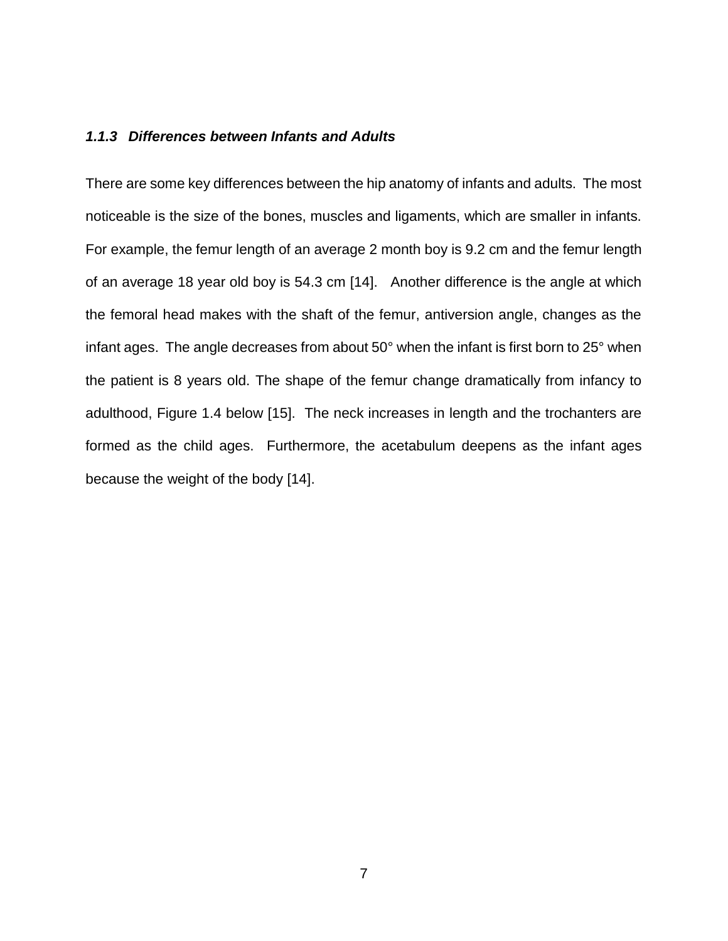#### <span id="page-14-0"></span>*1.1.3 Differences between Infants and Adults*

There are some key differences between the hip anatomy of infants and adults. The most noticeable is the size of the bones, muscles and ligaments, which are smaller in infants. For example, the femur length of an average 2 month boy is 9.2 cm and the femur length of an average 18 year old boy is 54.3 cm [\[14\]](#page-39-2). Another difference is the angle at which the femoral head makes with the shaft of the femur, antiversion angle, changes as the infant ages. The angle decreases from about 50° when the infant is first born to 25° when the patient is 8 years old. The shape of the femur change dramatically from infancy to adulthood, [Figure 1.4](#page-15-0) below [\[15\]](#page-39-3). The neck increases in length and the trochanters are formed as the child ages. Furthermore, the acetabulum deepens as the infant ages because the weight of the body [\[14\]](#page-39-2).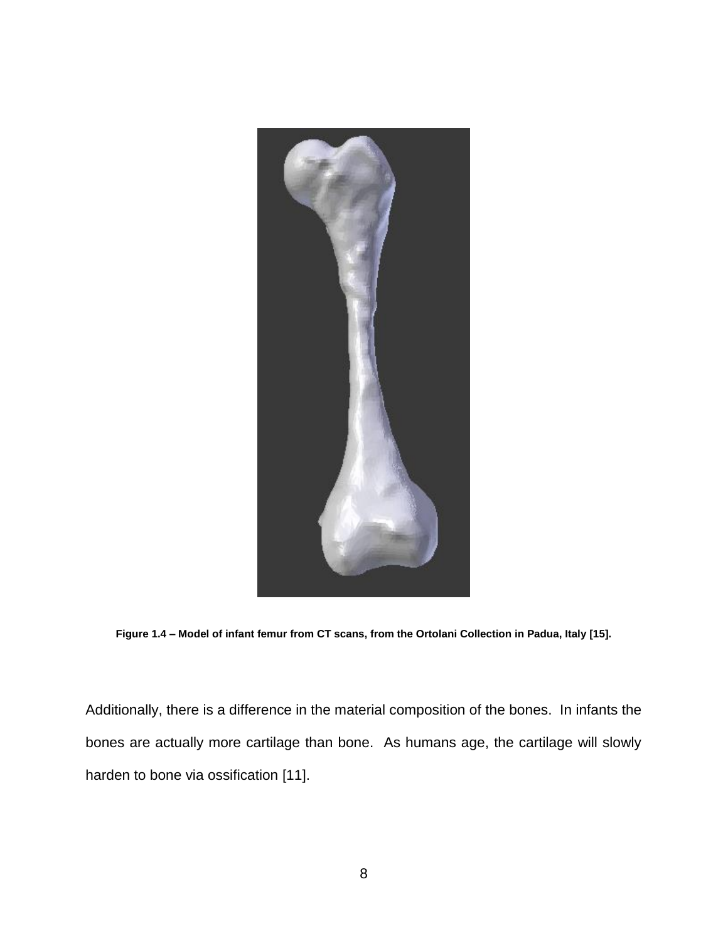

**Figure 1.4 – Model of infant femur from CT scans, from the Ortolani Collection in Padua, Italy [\[15\]](#page-39-3).** 

<span id="page-15-0"></span>Additionally, there is a difference in the material composition of the bones. In infants the bones are actually more cartilage than bone. As humans age, the cartilage will slowly harden to bone via ossification [\[11\]](#page-38-10).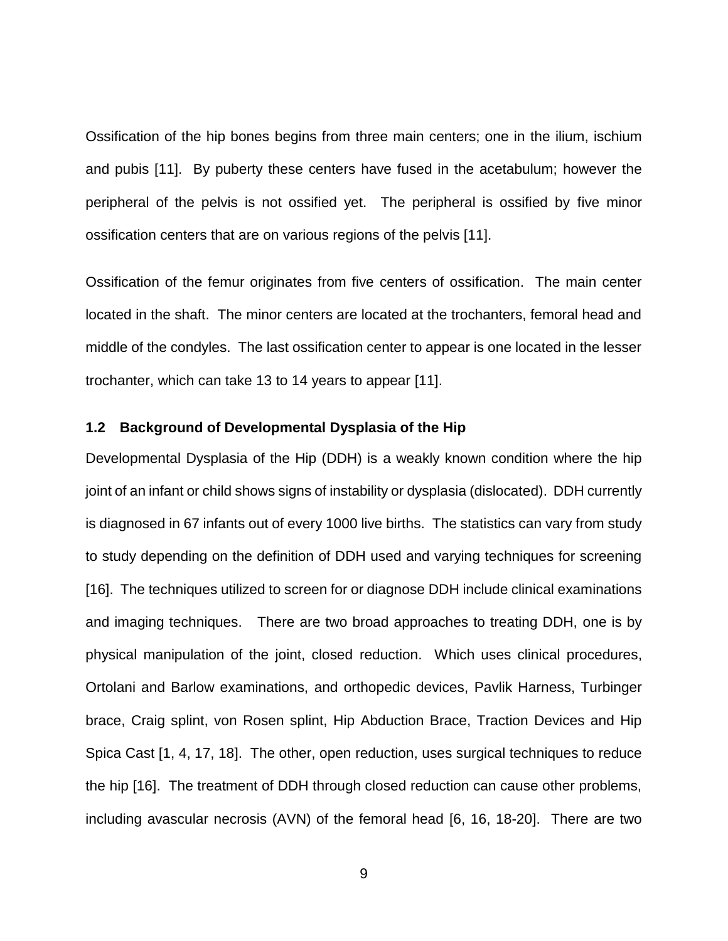Ossification of the hip bones begins from three main centers; one in the ilium, ischium and pubis [\[11\]](#page-38-10). By puberty these centers have fused in the acetabulum; however the peripheral of the pelvis is not ossified yet. The peripheral is ossified by five minor ossification centers that are on various regions of the pelvis [\[11\]](#page-38-10).

Ossification of the femur originates from five centers of ossification. The main center located in the shaft. The minor centers are located at the trochanters, femoral head and middle of the condyles. The last ossification center to appear is one located in the lesser trochanter, which can take 13 to 14 years to appear [\[11\]](#page-38-10).

#### <span id="page-16-0"></span>**1.2 Background of Developmental Dysplasia of the Hip**

Developmental Dysplasia of the Hip (DDH) is a weakly known condition where the hip joint of an infant or child shows signs of instability or dysplasia (dislocated). DDH currently is diagnosed in 67 infants out of every 1000 live births. The statistics can vary from study to study depending on the definition of DDH used and varying techniques for screening [\[16\]](#page-39-4). The techniques utilized to screen for or diagnose DDH include clinical examinations and imaging techniques. There are two broad approaches to treating DDH, one is by physical manipulation of the joint, closed reduction. Which uses clinical procedures, Ortolani and Barlow examinations, and orthopedic devices, Pavlik Harness, Turbinger brace, Craig splint, von Rosen splint, Hip Abduction Brace, Traction Devices and Hip Spica Cast [\[1,](#page-38-1) [4,](#page-38-4) [17,](#page-39-5) [18\]](#page-39-6). The other, open reduction, uses surgical techniques to reduce the hip [\[16\]](#page-39-4). The treatment of DDH through closed reduction can cause other problems, including avascular necrosis (AVN) of the femoral head [\[6,](#page-38-6) [16,](#page-39-4) [18-20\]](#page-39-6). There are two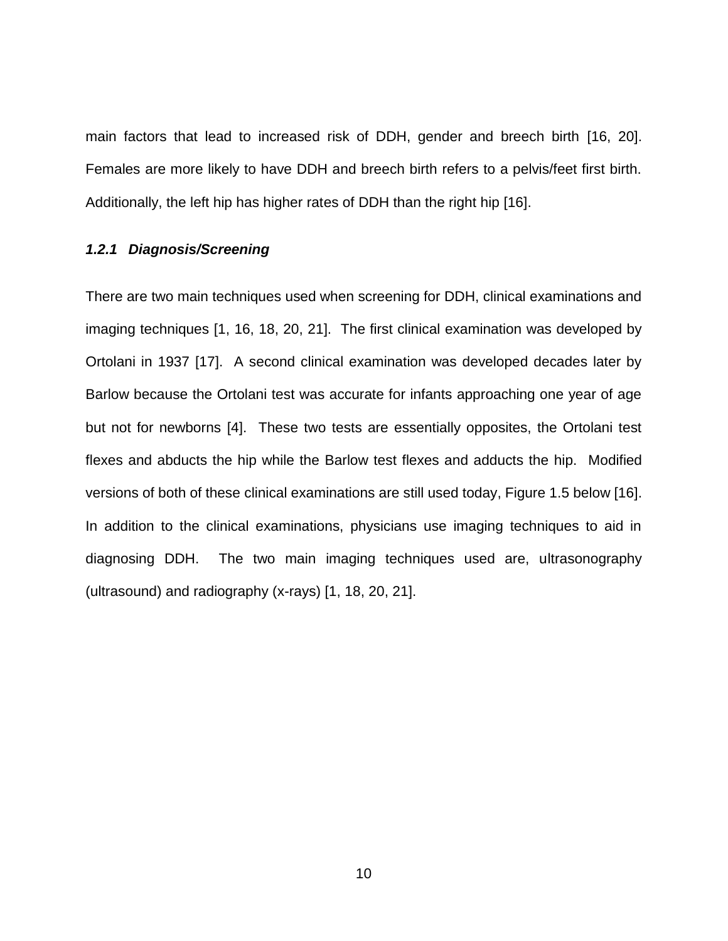main factors that lead to increased risk of DDH, gender and breech birth [\[16,](#page-39-4) [20\]](#page-39-7). Females are more likely to have DDH and breech birth refers to a pelvis/feet first birth. Additionally, the left hip has higher rates of DDH than the right hip [\[16\]](#page-39-4).

#### <span id="page-17-0"></span>*1.2.1 Diagnosis/Screening*

There are two main techniques used when screening for DDH, clinical examinations and imaging techniques [\[1,](#page-38-1) [16,](#page-39-4) [18,](#page-39-6) [20,](#page-39-7) [21\]](#page-39-8). The first clinical examination was developed by Ortolani in 1937 [\[17\]](#page-39-5). A second clinical examination was developed decades later by Barlow because the Ortolani test was accurate for infants approaching one year of age but not for newborns [\[4\]](#page-38-4). These two tests are essentially opposites, the Ortolani test flexes and abducts the hip while the Barlow test flexes and adducts the hip. Modified versions of both of these clinical examinations are still used today, [Figure 1.5](#page-18-1) below [\[16\]](#page-39-4). In addition to the clinical examinations, physicians use imaging techniques to aid in diagnosing DDH. The two main imaging techniques used are, ultrasonography (ultrasound) and radiography (x-rays) [\[1,](#page-38-1) [18,](#page-39-6) [20,](#page-39-7) [21\]](#page-39-8).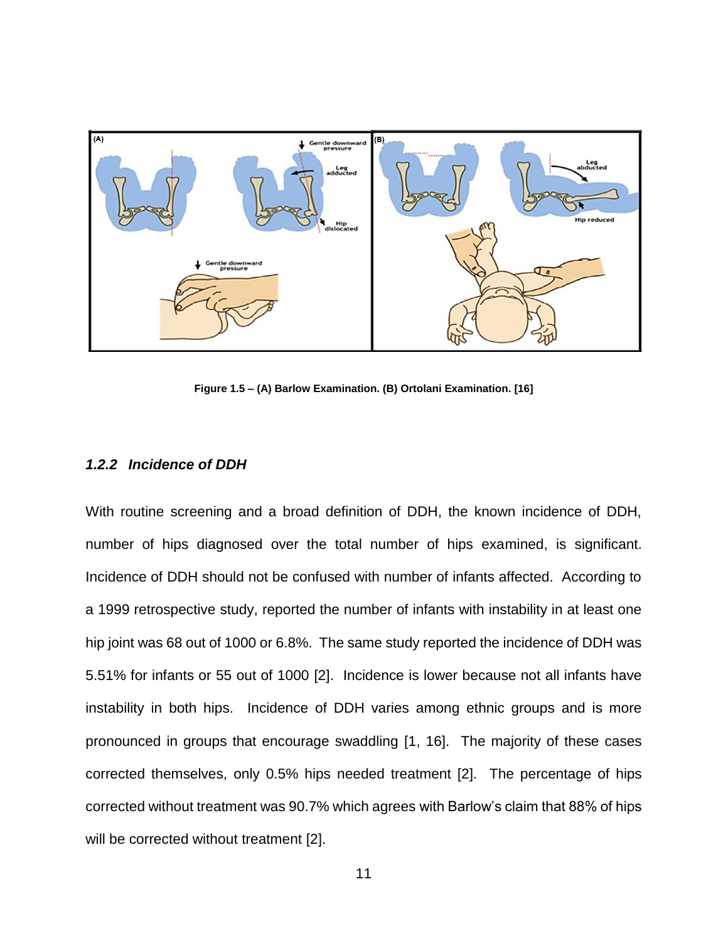

**Figure 1.5 – (A) Barlow Examination. (B) Ortolani Examination. [\[16\]](#page-39-4)**

#### <span id="page-18-1"></span><span id="page-18-0"></span>*1.2.2 Incidence of DDH*

With routine screening and a broad definition of DDH, the known incidence of DDH, number of hips diagnosed over the total number of hips examined, is significant. Incidence of DDH should not be confused with number of infants affected. According to a 1999 retrospective study, reported the number of infants with instability in at least one hip joint was 68 out of 1000 or 6.8%. The same study reported the incidence of DDH was 5.51% for infants or 55 out of 1000 [\[2\]](#page-38-2). Incidence is lower because not all infants have instability in both hips. Incidence of DDH varies among ethnic groups and is more pronounced in groups that encourage swaddling [\[1,](#page-38-1) [16\]](#page-39-4). The majority of these cases corrected themselves, only 0.5% hips needed treatment [\[2\]](#page-38-2). The percentage of hips corrected without treatment was 90.7% which agrees with Barlow's claim that 88% of hips will be corrected without treatment [\[2\]](#page-38-2).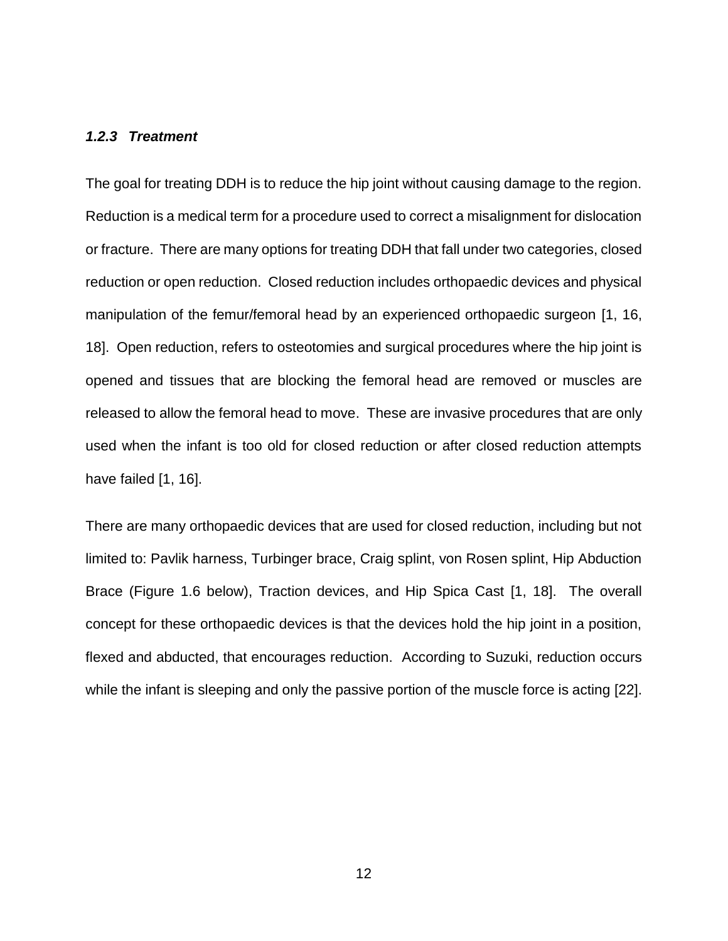#### <span id="page-19-0"></span>*1.2.3 Treatment*

The goal for treating DDH is to reduce the hip joint without causing damage to the region. Reduction is a medical term for a procedure used to correct a misalignment for dislocation or fracture. There are many options for treating DDH that fall under two categories, closed reduction or open reduction. Closed reduction includes orthopaedic devices and physical manipulation of the femur/femoral head by an experienced orthopaedic surgeon [\[1,](#page-38-1) [16,](#page-39-4) [18\]](#page-39-6). Open reduction, refers to osteotomies and surgical procedures where the hip joint is opened and tissues that are blocking the femoral head are removed or muscles are released to allow the femoral head to move. These are invasive procedures that are only used when the infant is too old for closed reduction or after closed reduction attempts have failed [\[1,](#page-38-1) [16\]](#page-39-4).

There are many orthopaedic devices that are used for closed reduction, including but not limited to: Pavlik harness, Turbinger brace, Craig splint, von Rosen splint, Hip Abduction Brace [\(Figure 1.6](#page-20-0) below), Traction devices, and Hip Spica Cast [\[1,](#page-38-1) [18\]](#page-39-6). The overall concept for these orthopaedic devices is that the devices hold the hip joint in a position, flexed and abducted, that encourages reduction. According to Suzuki, reduction occurs while the infant is sleeping and only the passive portion of the muscle force is acting [\[22\]](#page-39-9).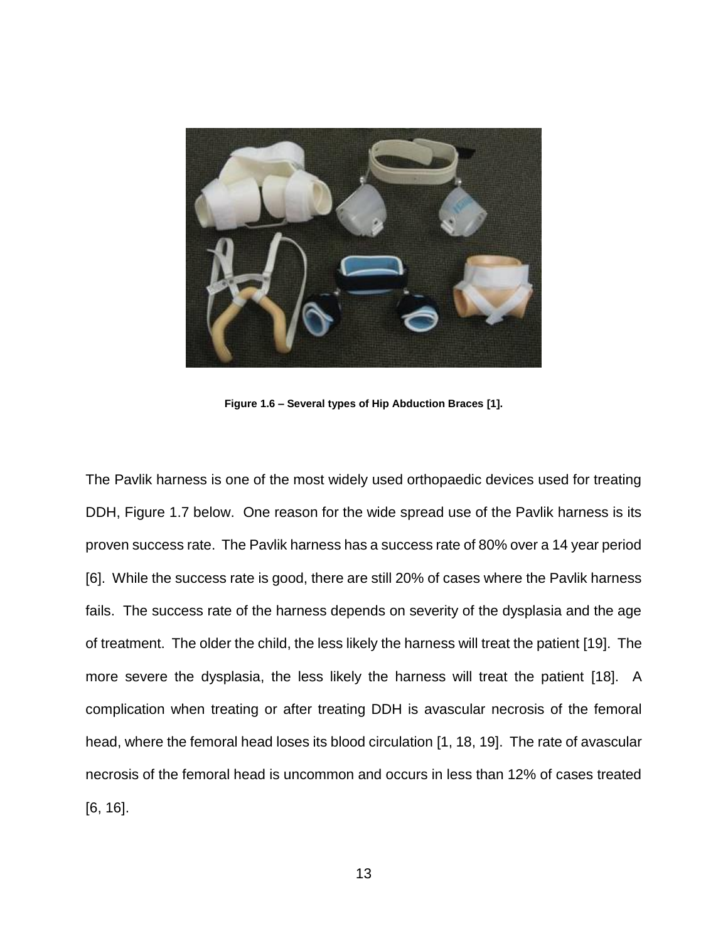

**Figure 1.6 – Several types of Hip Abduction Braces [\[1\]](#page-38-1).**

<span id="page-20-0"></span>The Pavlik harness is one of the most widely used orthopaedic devices used for treating DDH, [Figure 1.7](#page-21-0) below. One reason for the wide spread use of the Pavlik harness is its proven success rate. The Pavlik harness has a success rate of 80% over a 14 year period [\[6\]](#page-38-6). While the success rate is good, there are still 20% of cases where the Pavlik harness fails. The success rate of the harness depends on severity of the dysplasia and the age of treatment. The older the child, the less likely the harness will treat the patient [\[19\]](#page-39-10). The more severe the dysplasia, the less likely the harness will treat the patient [\[18\]](#page-39-6). A complication when treating or after treating DDH is avascular necrosis of the femoral head, where the femoral head loses its blood circulation [\[1,](#page-38-1) [18,](#page-39-6) [19\]](#page-39-10). The rate of avascular necrosis of the femoral head is uncommon and occurs in less than 12% of cases treated [\[6,](#page-38-6) [16\]](#page-39-4).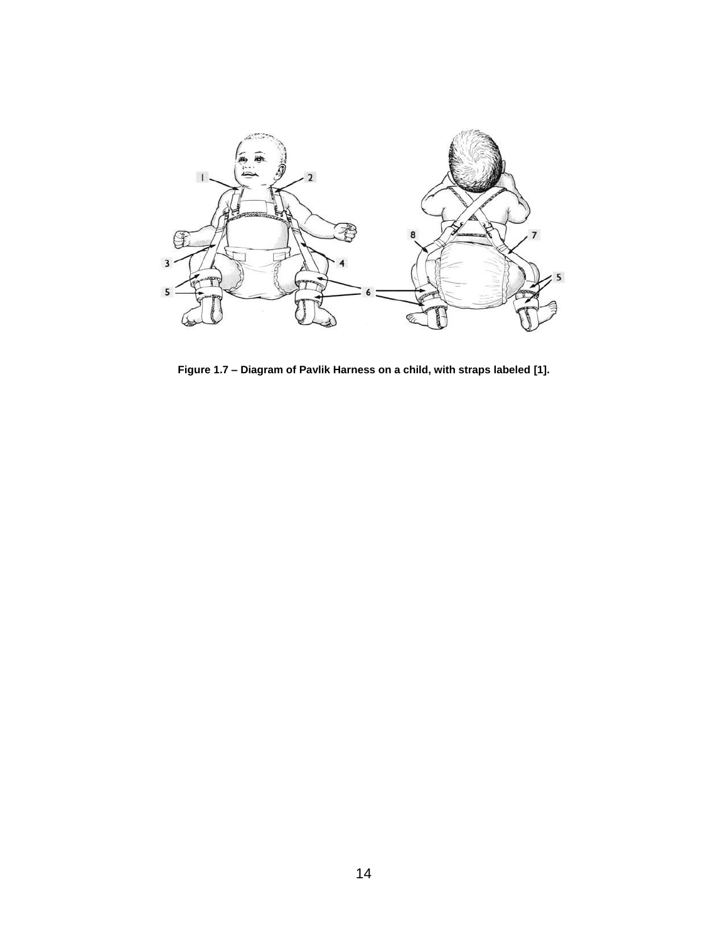

<span id="page-21-0"></span>**Figure 1.7 – Diagram of Pavlik Harness on a child, with straps labeled [\[1\]](#page-38-1).**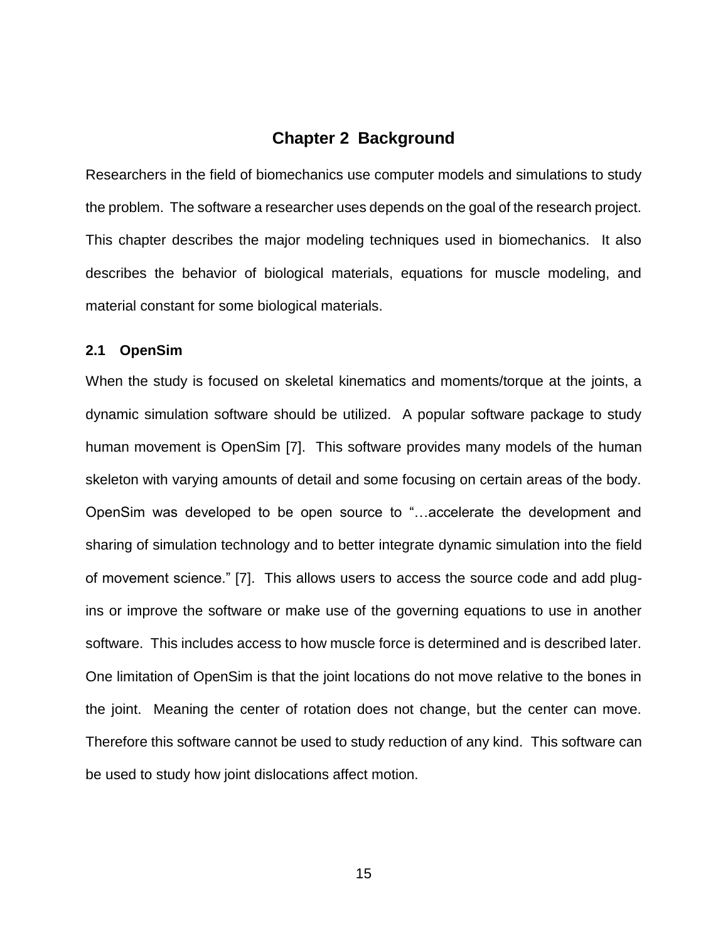#### **Chapter 2 Background**

<span id="page-22-0"></span>Researchers in the field of biomechanics use computer models and simulations to study the problem. The software a researcher uses depends on the goal of the research project. This chapter describes the major modeling techniques used in biomechanics. It also describes the behavior of biological materials, equations for muscle modeling, and material constant for some biological materials.

#### <span id="page-22-1"></span>**2.1 OpenSim**

When the study is focused on skeletal kinematics and moments/torque at the joints, a dynamic simulation software should be utilized. A popular software package to study human movement is OpenSim [\[7\]](#page-38-7). This software provides many models of the human skeleton with varying amounts of detail and some focusing on certain areas of the body. OpenSim was developed to be open source to "…accelerate the development and sharing of simulation technology and to better integrate dynamic simulation into the field of movement science." [\[7\]](#page-38-7). This allows users to access the source code and add plugins or improve the software or make use of the governing equations to use in another software. This includes access to how muscle force is determined and is described later. One limitation of OpenSim is that the joint locations do not move relative to the bones in the joint. Meaning the center of rotation does not change, but the center can move. Therefore this software cannot be used to study reduction of any kind. This software can be used to study how joint dislocations affect motion.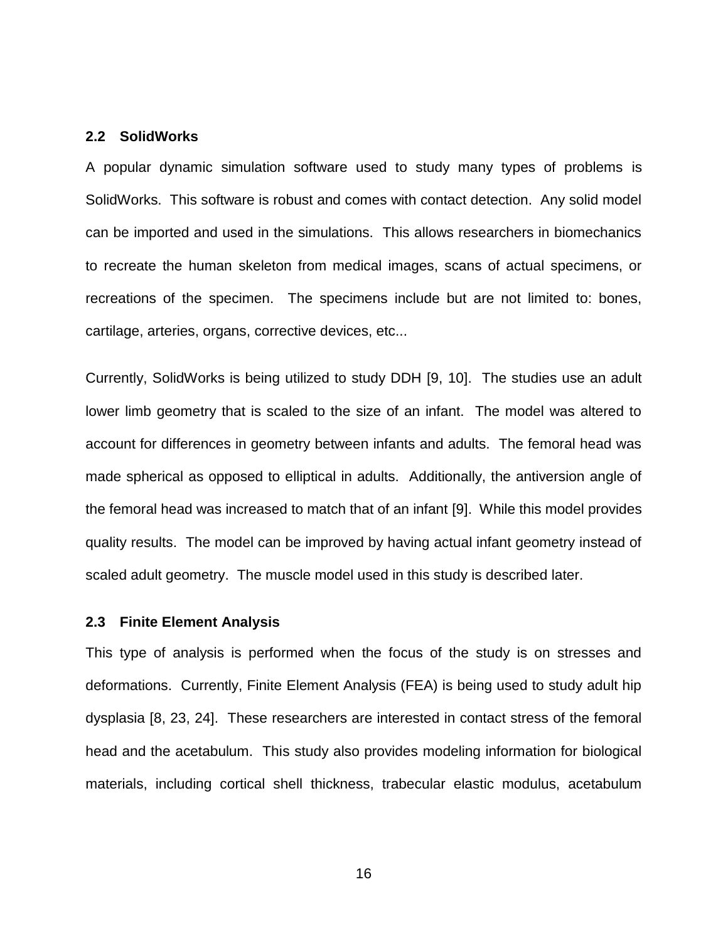#### <span id="page-23-0"></span>**2.2 SolidWorks**

A popular dynamic simulation software used to study many types of problems is SolidWorks. This software is robust and comes with contact detection. Any solid model can be imported and used in the simulations. This allows researchers in biomechanics to recreate the human skeleton from medical images, scans of actual specimens, or recreations of the specimen. The specimens include but are not limited to: bones, cartilage, arteries, organs, corrective devices, etc...

Currently, SolidWorks is being utilized to study DDH [\[9,](#page-38-8) [10\]](#page-38-9). The studies use an adult lower limb geometry that is scaled to the size of an infant. The model was altered to account for differences in geometry between infants and adults. The femoral head was made spherical as opposed to elliptical in adults. Additionally, the antiversion angle of the femoral head was increased to match that of an infant [\[9\]](#page-38-8). While this model provides quality results. The model can be improved by having actual infant geometry instead of scaled adult geometry. The muscle model used in this study is described later.

#### <span id="page-23-1"></span>**2.3 Finite Element Analysis**

This type of analysis is performed when the focus of the study is on stresses and deformations. Currently, Finite Element Analysis (FEA) is being used to study adult hip dysplasia [\[8,](#page-38-11) [23,](#page-39-11) [24\]](#page-40-0). These researchers are interested in contact stress of the femoral head and the acetabulum. This study also provides modeling information for biological materials, including cortical shell thickness, trabecular elastic modulus, acetabulum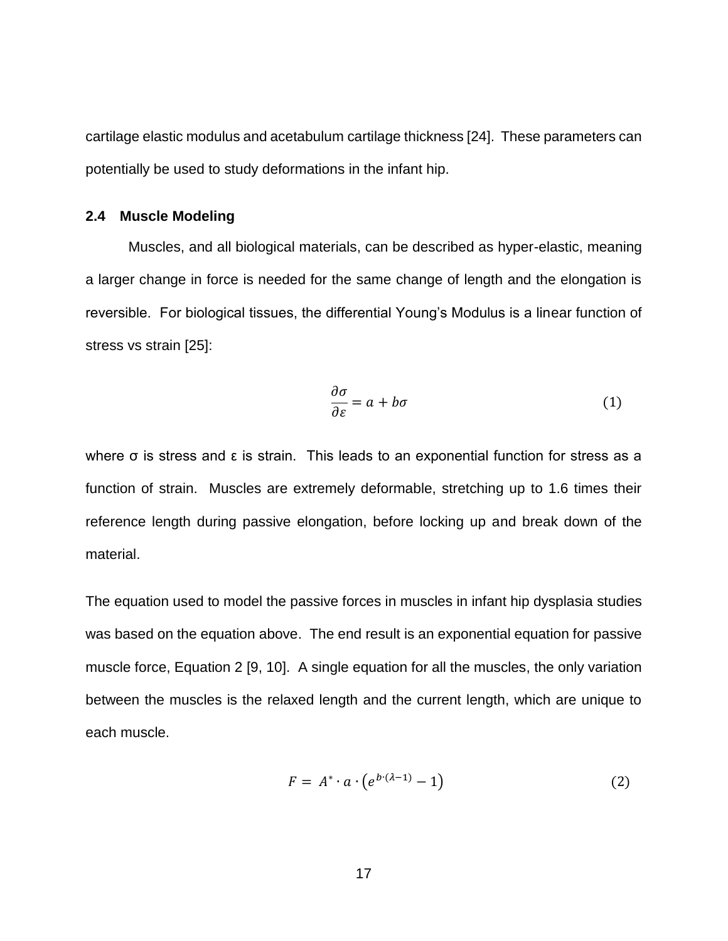cartilage elastic modulus and acetabulum cartilage thickness [\[24\]](#page-40-0). These parameters can potentially be used to study deformations in the infant hip.

#### <span id="page-24-0"></span>**2.4 Muscle Modeling**

Muscles, and all biological materials, can be described as hyper-elastic, meaning a larger change in force is needed for the same change of length and the elongation is reversible. For biological tissues, the differential Young's Modulus is a linear function of stress vs strain [\[25\]](#page-40-1):

$$
\frac{\partial \sigma}{\partial \varepsilon} = a + b\sigma \tag{1}
$$

where  $\sigma$  is stress and  $\varepsilon$  is strain. This leads to an exponential function for stress as a function of strain. Muscles are extremely deformable, stretching up to 1.6 times their reference length during passive elongation, before locking up and break down of the material.

The equation used to model the passive forces in muscles in infant hip dysplasia studies was based on the equation above. The end result is an exponential equation for passive muscle force, Equation 2 [\[9,](#page-38-8) [10\]](#page-38-9). A single equation for all the muscles, the only variation between the muscles is the relaxed length and the current length, which are unique to each muscle.

$$
F = A^* \cdot a \cdot \left(e^{b \cdot (\lambda - 1)} - 1\right) \tag{2}
$$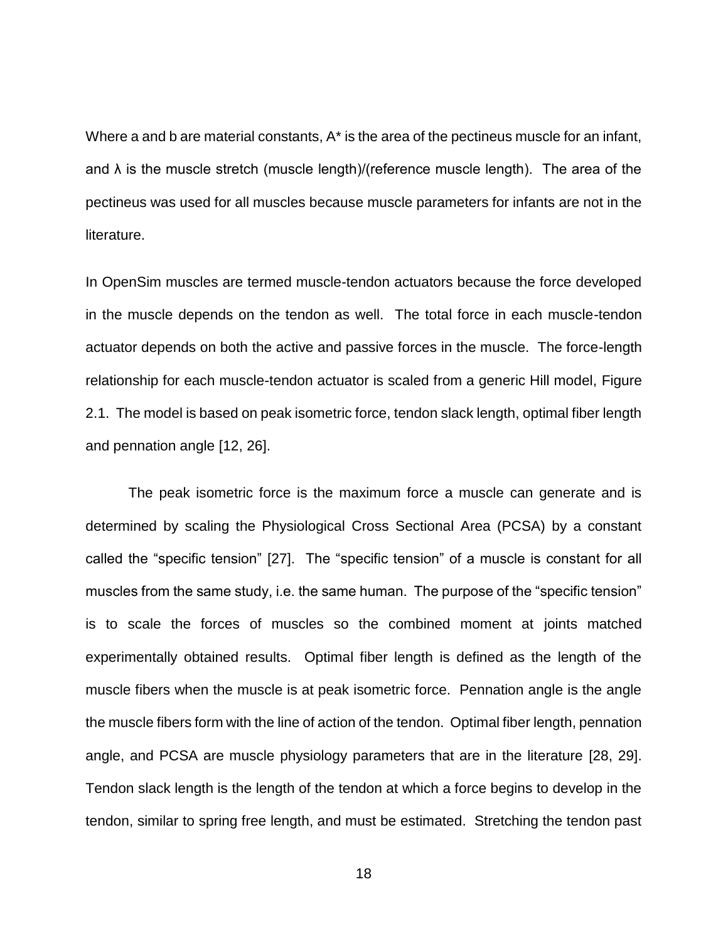Where a and b are material constants, A\* is the area of the pectineus muscle for an infant, and  $\lambda$  is the muscle stretch (muscle length)/(reference muscle length). The area of the pectineus was used for all muscles because muscle parameters for infants are not in the literature.

In OpenSim muscles are termed muscle-tendon actuators because the force developed in the muscle depends on the tendon as well. The total force in each muscle-tendon actuator depends on both the active and passive forces in the muscle. The force-length relationship for each muscle-tendon actuator is scaled from a generic Hill model, [Figure](#page-26-0)  [2.1.](#page-26-0) The model is based on peak isometric force, tendon slack length, optimal fiber length and pennation angle [\[12,](#page-39-0) [26\]](#page-40-2).

The peak isometric force is the maximum force a muscle can generate and is determined by scaling the Physiological Cross Sectional Area (PCSA) by a constant called the "specific tension" [\[27\]](#page-40-3). The "specific tension" of a muscle is constant for all muscles from the same study, i.e. the same human. The purpose of the "specific tension" is to scale the forces of muscles so the combined moment at joints matched experimentally obtained results. Optimal fiber length is defined as the length of the muscle fibers when the muscle is at peak isometric force. Pennation angle is the angle the muscle fibers form with the line of action of the tendon. Optimal fiber length, pennation angle, and PCSA are muscle physiology parameters that are in the literature [\[28,](#page-40-4) [29\]](#page-40-5). Tendon slack length is the length of the tendon at which a force begins to develop in the tendon, similar to spring free length, and must be estimated. Stretching the tendon past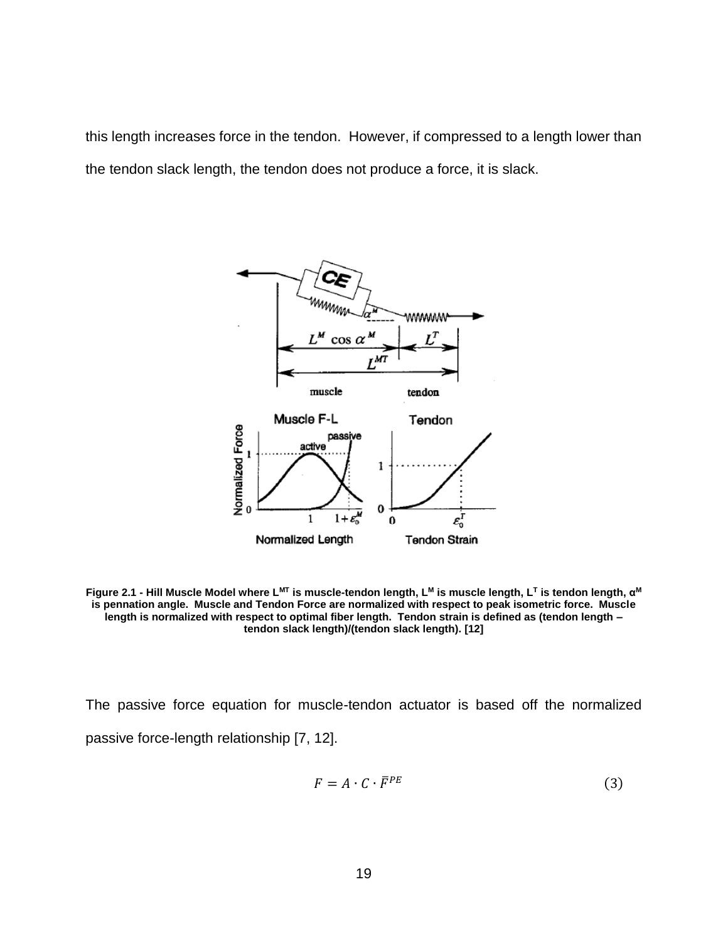this length increases force in the tendon. However, if compressed to a length lower than the tendon slack length, the tendon does not produce a force, it is slack.



<span id="page-26-0"></span>**Figure 2.1 - Hill Muscle Model where LMT is muscle-tendon length, L<sup>M</sup> is muscle length, L<sup>T</sup> is tendon length, α M is pennation angle. Muscle and Tendon Force are normalized with respect to peak isometric force. Muscle length is normalized with respect to optimal fiber length. Tendon strain is defined as (tendon length – tendon slack length)/(tendon slack length). [\[12\]](#page-39-0)**

The passive force equation for muscle-tendon actuator is based off the normalized passive force-length relationship [\[7,](#page-38-7) [12\]](#page-39-0).

$$
F = A \cdot C \cdot \bar{F}^{PE} \tag{3}
$$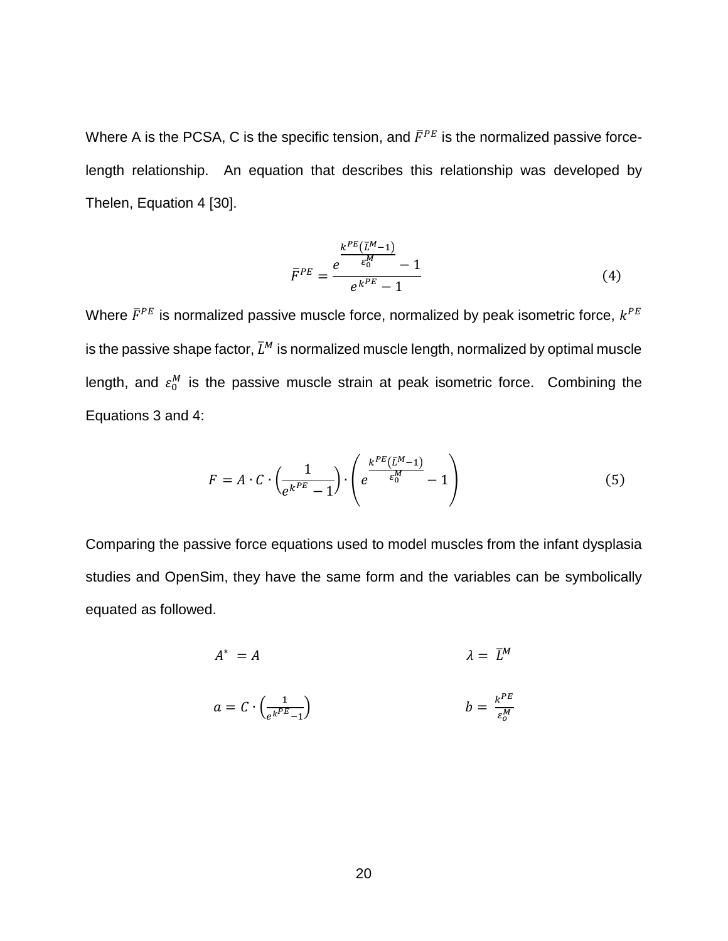Where A is the PCSA, C is the specific tension, and  $\bar{F}^{PE}$  is the normalized passive forcelength relationship. An equation that describes this relationship was developed by Thelen, Equation 4 [\[30\]](#page-40-6).

$$
\bar{F}^{PE} = \frac{e^{\frac{k^{PE}(\bar{L}^M - 1)}{\varepsilon_0^M}} - 1}{e^{k^{PE}} - 1}
$$
 (4)

Where  $\bar{F}^{PE}$  is normalized passive muscle force, normalized by peak isometric force,  $k^{PE}$ is the passive shape factor,  $\bar{L}^M$  is normalized muscle length, normalized by optimal muscle length, and  $\varepsilon_0^M$  is the passive muscle strain at peak isometric force. Combining the Equations 3 and 4:

$$
F = A \cdot C \cdot \left(\frac{1}{e^{k^{PE}} - 1}\right) \cdot \left(e^{\frac{k^{PE}(L^M - 1)}{\varepsilon_0^M}} - 1\right) \tag{5}
$$

Comparing the passive force equations used to model muscles from the infant dysplasia studies and OpenSim, they have the same form and the variables can be symbolically equated as followed.

$$
A^* = A \qquad \qquad \lambda = \bar{L}^M
$$

$$
a = C \cdot \left(\frac{1}{e^{k^P E} - 1}\right) \qquad b = \frac{k^P E}{\varepsilon_0^M}
$$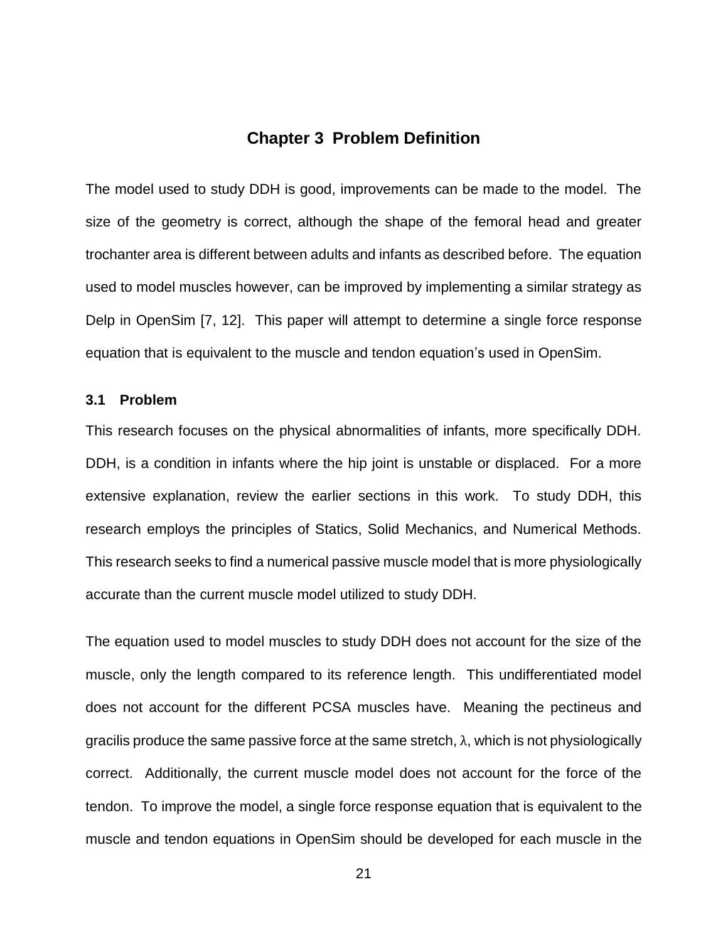#### **Chapter 3 Problem Definition**

<span id="page-28-0"></span>The model used to study DDH is good, improvements can be made to the model. The size of the geometry is correct, although the shape of the femoral head and greater trochanter area is different between adults and infants as described before. The equation used to model muscles however, can be improved by implementing a similar strategy as Delp in OpenSim [\[7,](#page-38-7) [12\]](#page-39-0). This paper will attempt to determine a single force response equation that is equivalent to the muscle and tendon equation's used in OpenSim.

#### <span id="page-28-1"></span>**3.1 Problem**

This research focuses on the physical abnormalities of infants, more specifically DDH. DDH, is a condition in infants where the hip joint is unstable or displaced. For a more extensive explanation, review the earlier sections in this work. To study DDH, this research employs the principles of Statics, Solid Mechanics, and Numerical Methods. This research seeks to find a numerical passive muscle model that is more physiologically accurate than the current muscle model utilized to study DDH.

The equation used to model muscles to study DDH does not account for the size of the muscle, only the length compared to its reference length. This undifferentiated model does not account for the different PCSA muscles have. Meaning the pectineus and gracilis produce the same passive force at the same stretch,  $\lambda$ , which is not physiologically correct. Additionally, the current muscle model does not account for the force of the tendon. To improve the model, a single force response equation that is equivalent to the muscle and tendon equations in OpenSim should be developed for each muscle in the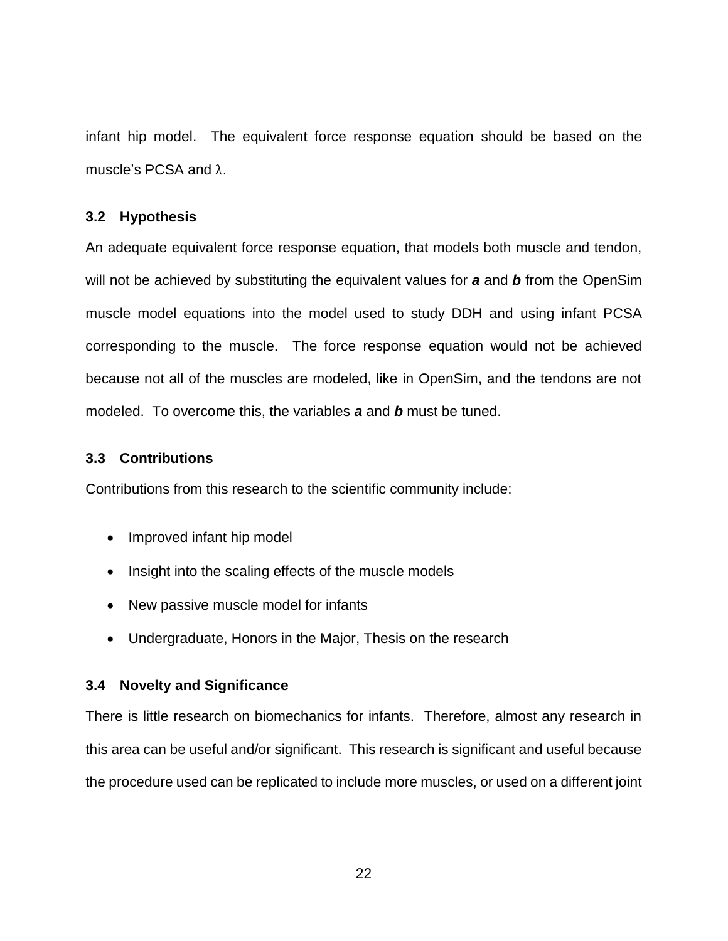infant hip model. The equivalent force response equation should be based on the muscle's PCSA and λ.

#### <span id="page-29-0"></span>**3.2 Hypothesis**

An adequate equivalent force response equation, that models both muscle and tendon, will not be achieved by substituting the equivalent values for *a* and *b* from the OpenSim muscle model equations into the model used to study DDH and using infant PCSA corresponding to the muscle. The force response equation would not be achieved because not all of the muscles are modeled, like in OpenSim, and the tendons are not modeled. To overcome this, the variables *a* and *b* must be tuned.

#### <span id="page-29-1"></span>**3.3 Contributions**

Contributions from this research to the scientific community include:

- Improved infant hip model
- Insight into the scaling effects of the muscle models
- New passive muscle model for infants
- Undergraduate, Honors in the Major, Thesis on the research

#### <span id="page-29-2"></span>**3.4 Novelty and Significance**

There is little research on biomechanics for infants. Therefore, almost any research in this area can be useful and/or significant. This research is significant and useful because the procedure used can be replicated to include more muscles, or used on a different joint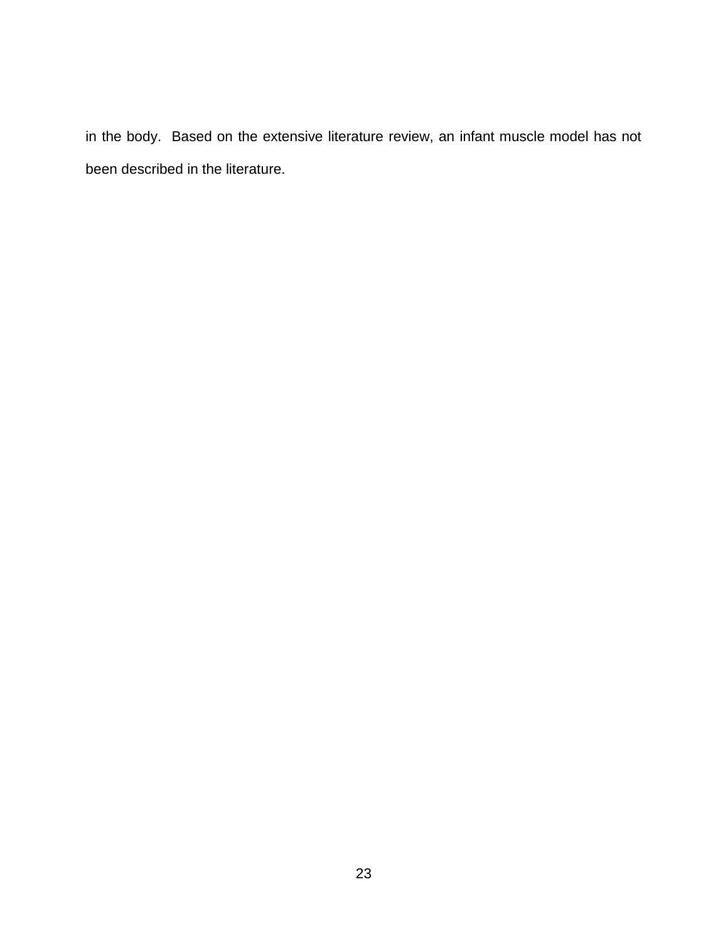in the body. Based on the extensive literature review, an infant muscle model has not been described in the literature.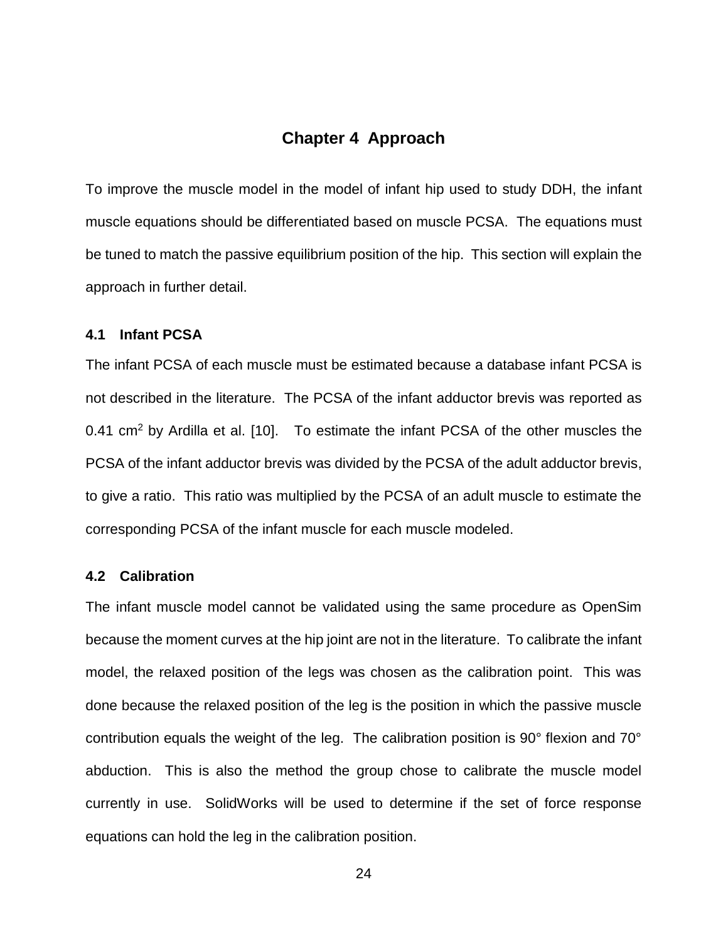#### **Chapter 4 Approach**

<span id="page-31-0"></span>To improve the muscle model in the model of infant hip used to study DDH, the infant muscle equations should be differentiated based on muscle PCSA. The equations must be tuned to match the passive equilibrium position of the hip. This section will explain the approach in further detail.

#### <span id="page-31-1"></span>**4.1 Infant PCSA**

The infant PCSA of each muscle must be estimated because a database infant PCSA is not described in the literature. The PCSA of the infant adductor brevis was reported as 0.41  $\text{cm}^2$  by Ardilla et al. [\[10\]](#page-38-9). To estimate the infant PCSA of the other muscles the PCSA of the infant adductor brevis was divided by the PCSA of the adult adductor brevis, to give a ratio. This ratio was multiplied by the PCSA of an adult muscle to estimate the corresponding PCSA of the infant muscle for each muscle modeled.

#### <span id="page-31-2"></span>**4.2 Calibration**

The infant muscle model cannot be validated using the same procedure as OpenSim because the moment curves at the hip joint are not in the literature. To calibrate the infant model, the relaxed position of the legs was chosen as the calibration point. This was done because the relaxed position of the leg is the position in which the passive muscle contribution equals the weight of the leg. The calibration position is 90° flexion and 70° abduction. This is also the method the group chose to calibrate the muscle model currently in use. SolidWorks will be used to determine if the set of force response equations can hold the leg in the calibration position.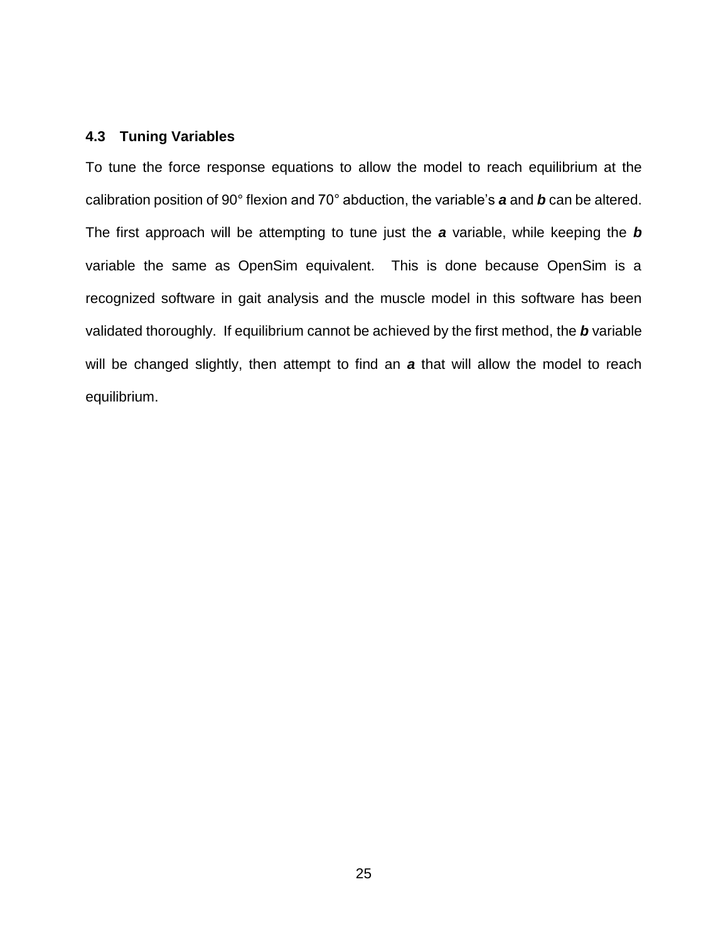#### <span id="page-32-0"></span>**4.3 Tuning Variables**

To tune the force response equations to allow the model to reach equilibrium at the calibration position of 90° flexion and 70° abduction, the variable's *a* and *b* can be altered. The first approach will be attempting to tune just the *a* variable, while keeping the *b* variable the same as OpenSim equivalent. This is done because OpenSim is a recognized software in gait analysis and the muscle model in this software has been validated thoroughly. If equilibrium cannot be achieved by the first method, the *b* variable will be changed slightly, then attempt to find an *a* that will allow the model to reach equilibrium.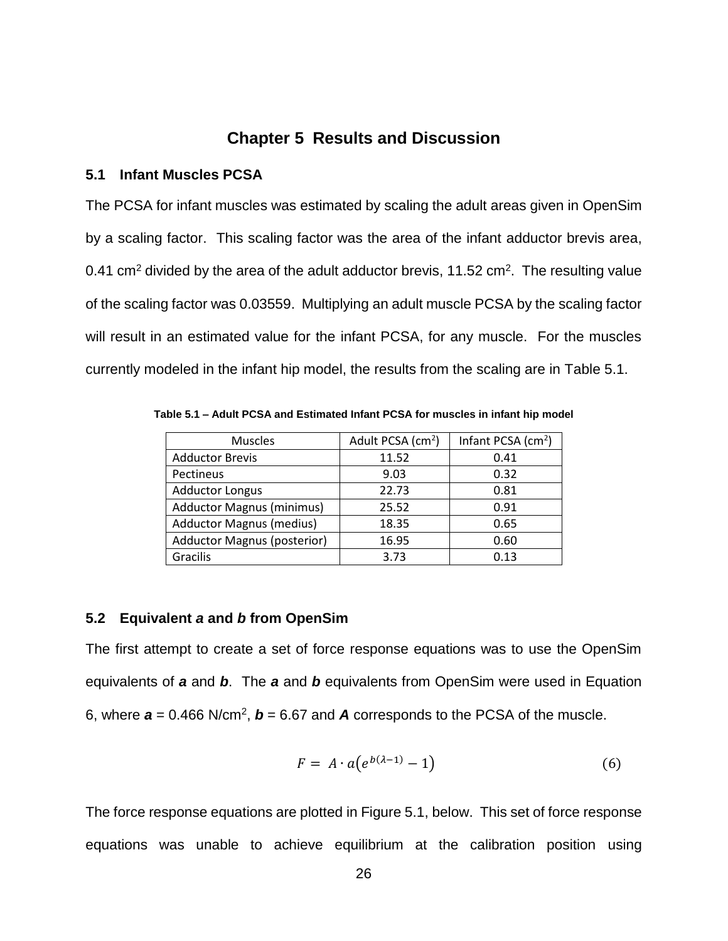#### **Chapter 5 Results and Discussion**

#### <span id="page-33-1"></span><span id="page-33-0"></span>**5.1 Infant Muscles PCSA**

The PCSA for infant muscles was estimated by scaling the adult areas given in OpenSim by a scaling factor. This scaling factor was the area of the infant adductor brevis area, 0.41 cm<sup>2</sup> divided by the area of the adult adductor brevis, 11.52 cm<sup>2</sup>. The resulting value of the scaling factor was 0.03559. Multiplying an adult muscle PCSA by the scaling factor will result in an estimated value for the infant PCSA, for any muscle. For the muscles currently modeled in the infant hip model, the results from the scaling are in [Table 5.1.](#page-33-3)

<span id="page-33-3"></span>**Table 5.1 – Adult PCSA and Estimated Infant PCSA for muscles in infant hip model**

| <b>Muscles</b>                     | Adult PCSA (cm <sup>2</sup> ) | Infant PCSA (cm <sup>2</sup> ) |
|------------------------------------|-------------------------------|--------------------------------|
| <b>Adductor Brevis</b>             | 11.52                         | 0.41                           |
| Pectineus                          | 9.03                          | 0.32                           |
| <b>Adductor Longus</b>             | 22.73                         | 0.81                           |
| <b>Adductor Magnus (minimus)</b>   | 25.52                         | 0.91                           |
| <b>Adductor Magnus (medius)</b>    | 18.35                         | 0.65                           |
| <b>Adductor Magnus (posterior)</b> | 16.95                         | 0.60                           |
| Gracilis                           | 3.73                          | 0.13                           |

#### <span id="page-33-2"></span>**5.2 Equivalent** *a* **and** *b* **from OpenSim**

The first attempt to create a set of force response equations was to use the OpenSim equivalents of *a* and *b*. The *a* and *b* equivalents from OpenSim were used in Equation 6, where  $a = 0.466$  N/cm<sup>2</sup>,  $b = 6.67$  and  $A$  corresponds to the PCSA of the muscle.

$$
F = A \cdot a(e^{b(\lambda - 1)} - 1) \tag{6}
$$

The force response equations are plotted in [Figure 5.1, below.](#page-34-1) This set of force response equations was unable to achieve equilibrium at the calibration position using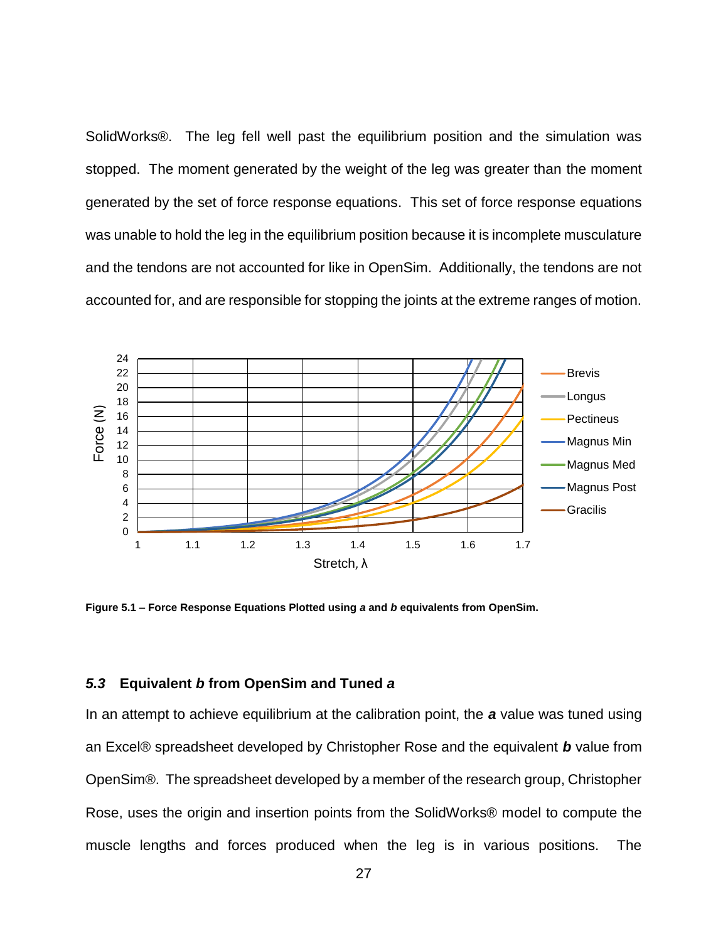SolidWorks®. The leg fell well past the equilibrium position and the simulation was stopped. The moment generated by the weight of the leg was greater than the moment generated by the set of force response equations. This set of force response equations was unable to hold the leg in the equilibrium position because it is incomplete musculature and the tendons are not accounted for like in OpenSim. Additionally, the tendons are not accounted for, and are responsible for stopping the joints at the extreme ranges of motion.



<span id="page-34-1"></span>**Figure 5.1 – Force Response Equations Plotted using** *a* **and** *b* **equivalents from OpenSim.**

#### <span id="page-34-0"></span>*5.3* **Equivalent** *b* **from OpenSim and Tuned** *a*

In an attempt to achieve equilibrium at the calibration point, the *a* value was tuned using an Excel® spreadsheet developed by Christopher Rose and the equivalent *b* value from OpenSim®. The spreadsheet developed by a member of the research group, Christopher Rose, uses the origin and insertion points from the SolidWorks® model to compute the muscle lengths and forces produced when the leg is in various positions. The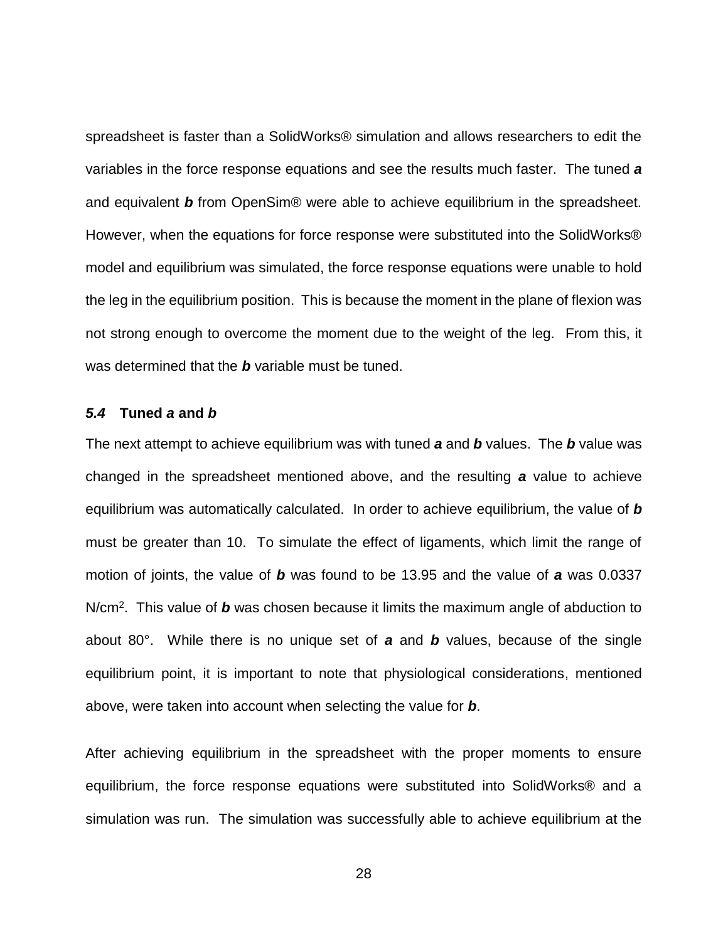spreadsheet is faster than a SolidWorks® simulation and allows researchers to edit the variables in the force response equations and see the results much faster. The tuned *a* and equivalent *b* from OpenSim® were able to achieve equilibrium in the spreadsheet. However, when the equations for force response were substituted into the SolidWorks® model and equilibrium was simulated, the force response equations were unable to hold the leg in the equilibrium position. This is because the moment in the plane of flexion was not strong enough to overcome the moment due to the weight of the leg. From this, it was determined that the *b* variable must be tuned.

#### <span id="page-35-0"></span>*5.4* **Tuned** *a* **and** *b*

The next attempt to achieve equilibrium was with tuned *a* and *b* values. The *b* value was changed in the spreadsheet mentioned above, and the resulting *a* value to achieve equilibrium was automatically calculated. In order to achieve equilibrium, the value of *b* must be greater than 10. To simulate the effect of ligaments, which limit the range of motion of joints, the value of *b* was found to be 13.95 and the value of *a* was 0.0337 N/cm<sup>2</sup>. This value of b was chosen because it limits the maximum angle of abduction to about 80°. While there is no unique set of *a* and *b* values, because of the single equilibrium point, it is important to note that physiological considerations, mentioned above, were taken into account when selecting the value for *b*.

After achieving equilibrium in the spreadsheet with the proper moments to ensure equilibrium, the force response equations were substituted into SolidWorks® and a simulation was run. The simulation was successfully able to achieve equilibrium at the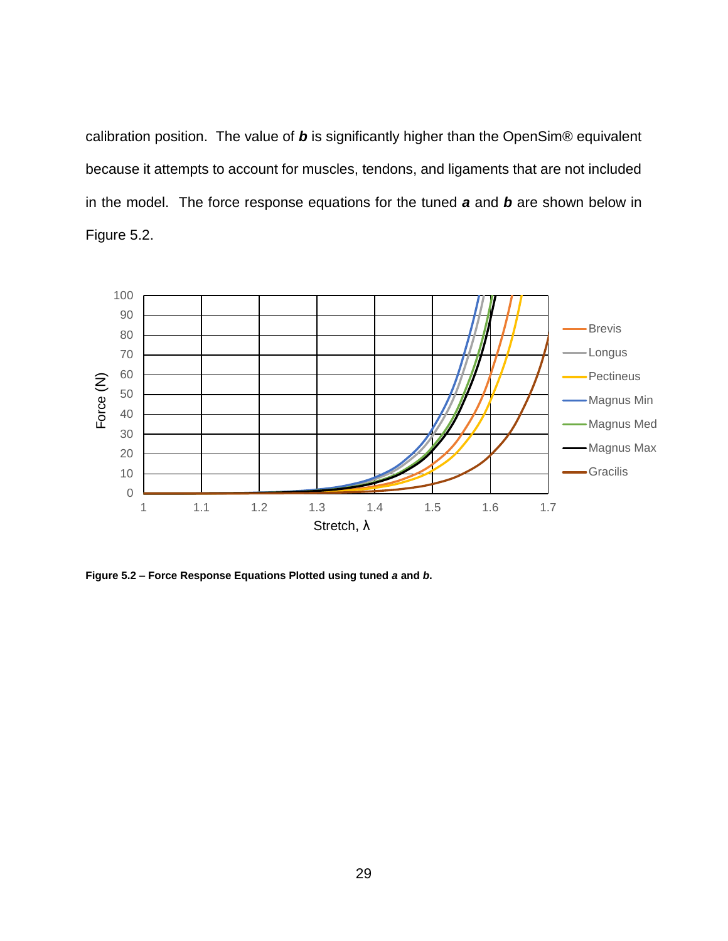calibration position. The value of *b* is significantly higher than the OpenSim® equivalent because it attempts to account for muscles, tendons, and ligaments that are not included in the model. The force response equations for the tuned *a* and *b* are shown below in [Figure 5.2.](#page-36-0)



<span id="page-36-0"></span>**Figure 5.2 – Force Response Equations Plotted using tuned** *a* **and** *b***.**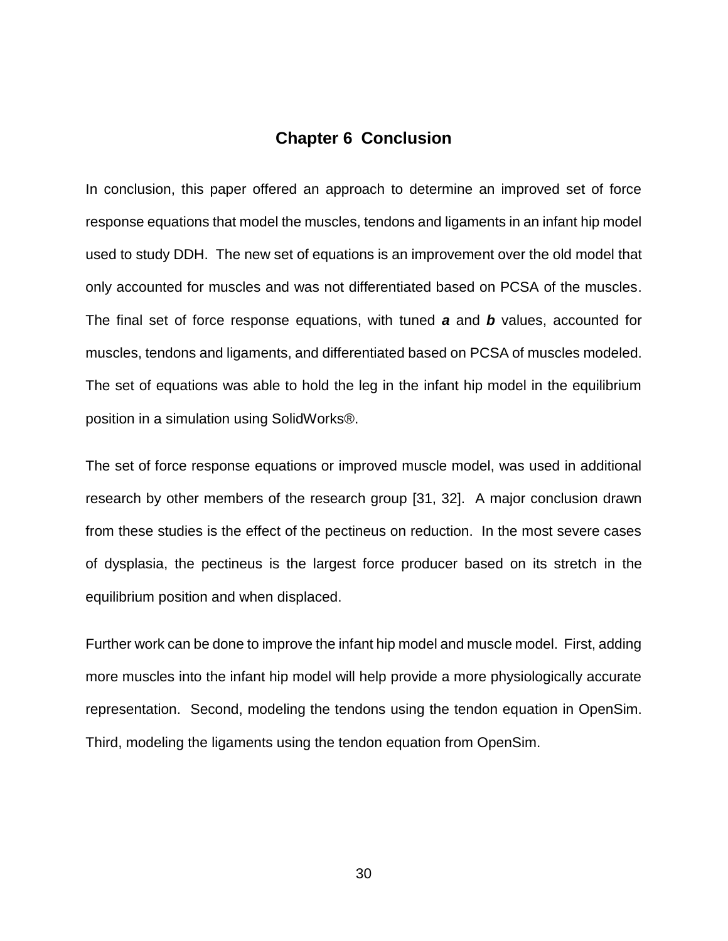#### **Chapter 6 Conclusion**

<span id="page-37-0"></span>In conclusion, this paper offered an approach to determine an improved set of force response equations that model the muscles, tendons and ligaments in an infant hip model used to study DDH. The new set of equations is an improvement over the old model that only accounted for muscles and was not differentiated based on PCSA of the muscles. The final set of force response equations, with tuned *a* and *b* values, accounted for muscles, tendons and ligaments, and differentiated based on PCSA of muscles modeled. The set of equations was able to hold the leg in the infant hip model in the equilibrium position in a simulation using SolidWorks®.

The set of force response equations or improved muscle model, was used in additional research by other members of the research group [\[31,](#page-40-7) [32\]](#page-40-8). A major conclusion drawn from these studies is the effect of the pectineus on reduction. In the most severe cases of dysplasia, the pectineus is the largest force producer based on its stretch in the equilibrium position and when displaced.

Further work can be done to improve the infant hip model and muscle model. First, adding more muscles into the infant hip model will help provide a more physiologically accurate representation. Second, modeling the tendons using the tendon equation in OpenSim. Third, modeling the ligaments using the tendon equation from OpenSim.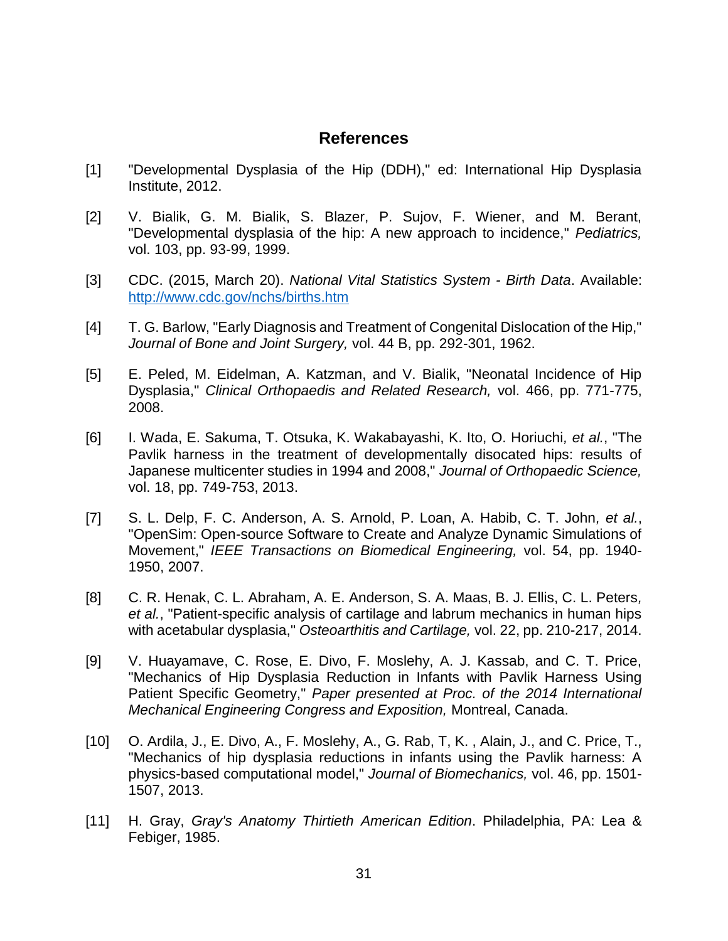#### **References**

- <span id="page-38-1"></span><span id="page-38-0"></span>[1] "Developmental Dysplasia of the Hip (DDH)," ed: International Hip Dysplasia Institute, 2012.
- <span id="page-38-2"></span>[2] V. Bialik, G. M. Bialik, S. Blazer, P. Sujov, F. Wiener, and M. Berant, "Developmental dysplasia of the hip: A new approach to incidence," *Pediatrics,*  vol. 103, pp. 93-99, 1999.
- <span id="page-38-3"></span>[3] CDC. (2015, March 20). *National Vital Statistics System - Birth Data*. Available: <http://www.cdc.gov/nchs/births.htm>
- <span id="page-38-4"></span>[4] T. G. Barlow, "Early Diagnosis and Treatment of Congenital Dislocation of the Hip," *Journal of Bone and Joint Surgery,* vol. 44 B, pp. 292-301, 1962.
- <span id="page-38-5"></span>[5] E. Peled, M. Eidelman, A. Katzman, and V. Bialik, "Neonatal Incidence of Hip Dysplasia," *Clinical Orthopaedis and Related Research,* vol. 466, pp. 771-775, 2008.
- <span id="page-38-6"></span>[6] I. Wada, E. Sakuma, T. Otsuka, K. Wakabayashi, K. Ito, O. Horiuchi*, et al.*, "The Pavlik harness in the treatment of developmentally disocated hips: results of Japanese multicenter studies in 1994 and 2008," *Journal of Orthopaedic Science,*  vol. 18, pp. 749-753, 2013.
- <span id="page-38-7"></span>[7] S. L. Delp, F. C. Anderson, A. S. Arnold, P. Loan, A. Habib, C. T. John*, et al.*, "OpenSim: Open-source Software to Create and Analyze Dynamic Simulations of Movement," *IEEE Transactions on Biomedical Engineering,* vol. 54, pp. 1940- 1950, 2007.
- <span id="page-38-11"></span>[8] C. R. Henak, C. L. Abraham, A. E. Anderson, S. A. Maas, B. J. Ellis, C. L. Peters*, et al.*, "Patient-specific analysis of cartilage and labrum mechanics in human hips with acetabular dysplasia," *Osteoarthitis and Cartilage,* vol. 22, pp. 210-217, 2014.
- <span id="page-38-8"></span>[9] V. Huayamave, C. Rose, E. Divo, F. Moslehy, A. J. Kassab, and C. T. Price, "Mechanics of Hip Dysplasia Reduction in Infants with Pavlik Harness Using Patient Specific Geometry," *Paper presented at Proc. of the 2014 International Mechanical Engineering Congress and Exposition,* Montreal, Canada.
- <span id="page-38-9"></span>[10] O. Ardila, J., E. Divo, A., F. Moslehy, A., G. Rab, T, K. , Alain, J., and C. Price, T., "Mechanics of hip dysplasia reductions in infants using the Pavlik harness: A physics-based computational model," *Journal of Biomechanics,* vol. 46, pp. 1501- 1507, 2013.
- <span id="page-38-10"></span>[11] H. Gray, *Gray's Anatomy Thirtieth American Edition*. Philadelphia, PA: Lea & Febiger, 1985.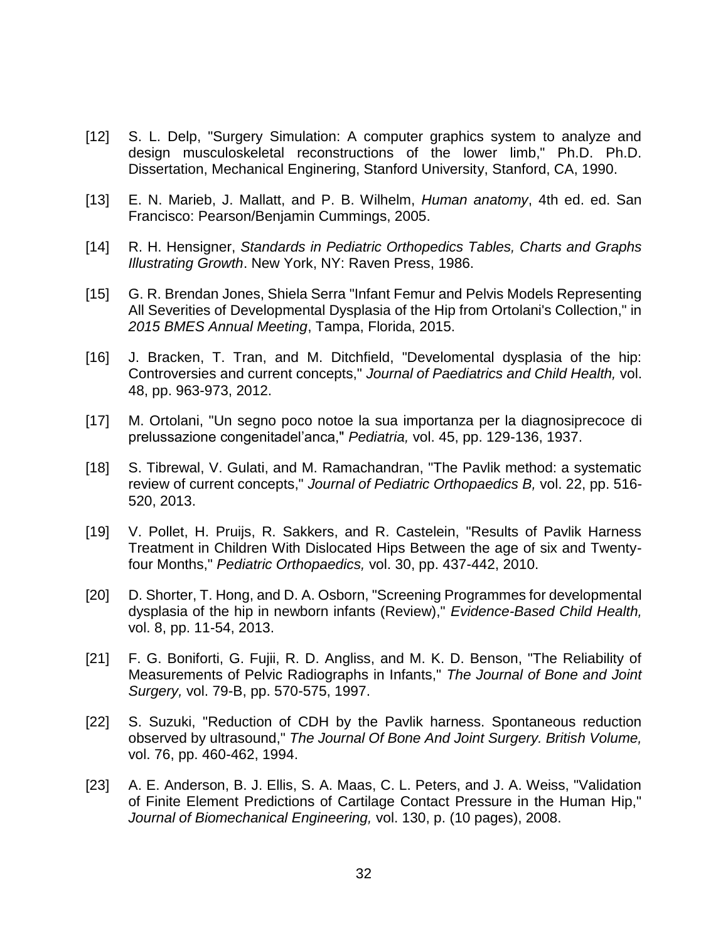- <span id="page-39-0"></span>[12] S. L. Delp, "Surgery Simulation: A computer graphics system to analyze and design musculoskeletal reconstructions of the lower limb," Ph.D. Ph.D. Dissertation, Mechanical Enginering, Stanford University, Stanford, CA, 1990.
- <span id="page-39-1"></span>[13] E. N. Marieb, J. Mallatt, and P. B. Wilhelm, *Human anatomy*, 4th ed. ed. San Francisco: Pearson/Benjamin Cummings, 2005.
- <span id="page-39-2"></span>[14] R. H. Hensigner, *Standards in Pediatric Orthopedics Tables, Charts and Graphs Illustrating Growth*. New York, NY: Raven Press, 1986.
- <span id="page-39-3"></span>[15] G. R. Brendan Jones, Shiela Serra "Infant Femur and Pelvis Models Representing All Severities of Developmental Dysplasia of the Hip from Ortolani's Collection," in *2015 BMES Annual Meeting*, Tampa, Florida, 2015.
- <span id="page-39-4"></span>[16] J. Bracken, T. Tran, and M. Ditchfield, "Develomental dysplasia of the hip: Controversies and current concepts," *Journal of Paediatrics and Child Health,* vol. 48, pp. 963-973, 2012.
- <span id="page-39-5"></span>[17] M. Ortolani, "Un segno poco notoe la sua importanza per la diagnosiprecoce di prelussazione congenitadel'anca," *Pediatria,* vol. 45, pp. 129-136, 1937.
- <span id="page-39-6"></span>[18] S. Tibrewal, V. Gulati, and M. Ramachandran, "The Pavlik method: a systematic review of current concepts," *Journal of Pediatric Orthopaedics B,* vol. 22, pp. 516- 520, 2013.
- <span id="page-39-10"></span>[19] V. Pollet, H. Pruijs, R. Sakkers, and R. Castelein, "Results of Pavlik Harness Treatment in Children With Dislocated Hips Between the age of six and Twentyfour Months," *Pediatric Orthopaedics,* vol. 30, pp. 437-442, 2010.
- <span id="page-39-7"></span>[20] D. Shorter, T. Hong, and D. A. Osborn, "Screening Programmes for developmental dysplasia of the hip in newborn infants (Review)," *Evidence-Based Child Health,*  vol. 8, pp. 11-54, 2013.
- <span id="page-39-8"></span>[21] F. G. Boniforti, G. Fujii, R. D. Angliss, and M. K. D. Benson, "The Reliability of Measurements of Pelvic Radiographs in Infants," *The Journal of Bone and Joint Surgery,* vol. 79-B, pp. 570-575, 1997.
- <span id="page-39-9"></span>[22] S. Suzuki, "Reduction of CDH by the Pavlik harness. Spontaneous reduction observed by ultrasound," *The Journal Of Bone And Joint Surgery. British Volume,*  vol. 76, pp. 460-462, 1994.
- <span id="page-39-11"></span>[23] A. E. Anderson, B. J. Ellis, S. A. Maas, C. L. Peters, and J. A. Weiss, "Validation of Finite Element Predictions of Cartilage Contact Pressure in the Human Hip," *Journal of Biomechanical Engineering,* vol. 130, p. (10 pages), 2008.